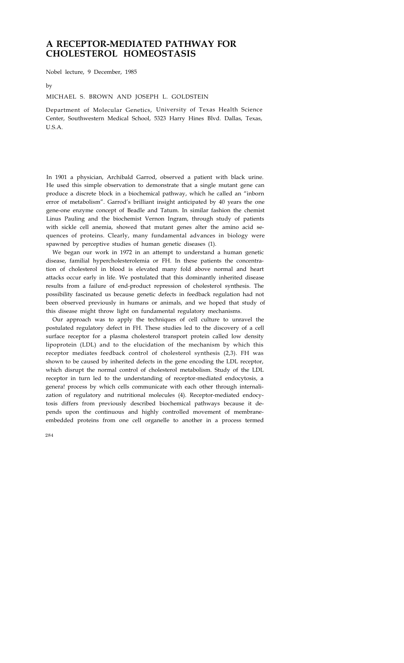# **A RECEPTOR-MEDIATED PATHWAY FOR CHOLESTEROL HOMEOSTASIS**

Nobel lecture, 9 December, 1985

by

MICHAEL S. BROWN AND JOSEPH L. GOLDSTEIN

Department of Molecular Genetics, University of Texas Health Science Center, Southwestern Medical School, 5323 Harry Hines Blvd. Dallas, Texas, U.S.A.

In 1901 a physician, Archibald Garrod, observed a patient with black urine. He used this simple observation to demonstrate that a single mutant gene can produce a discrete block in a biochemical pathway, which he called an "inborn error of metabolism". Garrod's brilliant insight anticipated by 40 years the one gene-one enzyme concept of Beadle and Tatum. In similar fashion the chemist Linus Pauling and the biochemist Vernon Ingram, through study of patients with sickle cell anemia, showed that mutant genes alter the amino acid sequences of proteins. Clearly, many fundamental advances in biology were spawned by perceptive studies of human genetic diseases (1).

We began our work in 1972 in an attempt to understand a human genetic disease, familial hypercholesterolemia or FH. In these patients the concentration of cholesterol in blood is elevated many fold above normal and heart attacks occur early in life. We postulated that this dominantly inherited disease results from a failure of end-product repression of cholesterol synthesis. The possibility fascinated us because genetic defects in feedback regulation had not been observed previously in humans or animals, and we hoped that study of this disease might throw light on fundamental regulatory mechanisms.

Our approach was to apply the techniques of cell culture to unravel the postulated regulatory defect in FH. These studies led to the discovery of a cell surface receptor for a plasma cholesterol transport protein called low density lipoprotein (LDL) and to the elucidation of the mechanism by which this receptor mediates feedback control of cholesterol synthesis (2,3). FH was shown to be caused by inherited defects in the gene encoding the LDL receptor, which disrupt the normal control of cholesterol metabolism. Study of the LDL receptor in turn led to the understanding of receptor-mediated endocytosis, a genera! process by which cells communicate with each other through internalization of regulatory and nutritional molecules (4). Receptor-mediated endocytosis differs from previously described biochemical pathways because it depends upon the continuous and highly controlled movement of membraneembedded proteins from one cell organelle to another in a process termed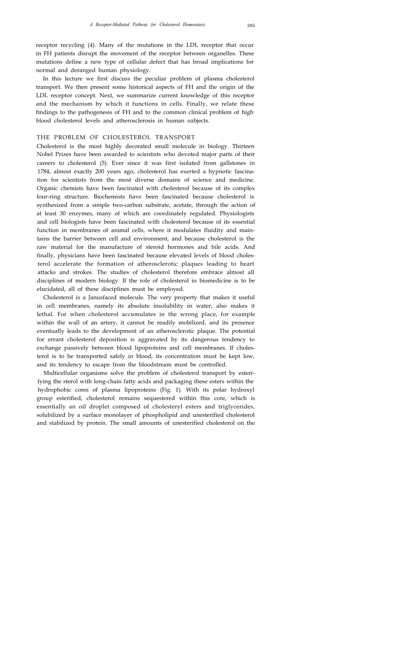receptor recycling (4). Many of the mutations in the LDL receptor that occur in FH patients disrupt the movement of the receptor between organelles. These mutations define a new type of cellular defect that has broad implications for normal and deranged human physiology.

In this lecture we first discuss the peculiar problem of plasma cholesterol transport. We then present some historical aspects of FH and the origin of the LDL receptor concept. Next, we summarize current knowledge of this receptor and the mechanism by which it functions in cells. Finally, we relate these findings to the pathogenesis of FH and to the common clinical problem of high blood cholesterol levels and atherosclerosis in human subjects.

### THE PROBLEM OF CHOLESTEROL TRANSPORT

Cholesterol is the most highly decorated small molecule in biology. Thirteen Nobel Prizes have been awarded to scientists who devoted major parts of their careers to cholesterol (5). Ever since it was first isolated from gallstones in 1784, almost exactly 200 years ago, cholesterol has exerted a hypnotic fascination for scientists from the most diverse domains of science and medicine. Organic chemists have been fascinated with cholesterol because of its complex four-ring structure. Biochemists have been fascinated because cholesterol is synthesized from a simple two-carbon substrate, acetate, through the action of at least 30 enzymes, many of which are coordinately regulated. Physiologists and cell biologists have been fascinated with cholesterol because of its essential function in membranes of animal cells, where it modulates fluidity and maintains the barrier between cell and environment, and because cholesterol is the raw material for the manufacture of steroid hormones and bile acids. And finally, physicians have been fascinated because elevated levels of blood cholesterol accelerate the formation of atherosclerotic plaques leading to heart attacks and strokes. The studies of cholesterol therefore embrace almost all disciplines of modern biology. If the role of cholesterol in biomedicine is to be elucidated, all of these disciplines must be employed.

Cholesterol is a Janusfaced molecule. The very property that makes it useful in cell membranes, namely its absolute insolubility in water, also makes it lethal. For when cholesterol accumulates in the wrong place, for example within the wall of an artery, it cannot be readily mobilized, and its presence eventually leads to the development of an atherosclerotic plaque. The potential for errant cholesterol deposition is aggravated by its dangerous tendency to exchange passively between blood lipoproteins and cell membranes. If cholesterol is to be transported safely in blood, its concentration must be kept low, and its tendency to escape from the bloodstream must be controlled.

Multicellular organisms solve the problem of cholesterol transport by esterifying the sterol with long-chain fatty acids and packaging these esters within the hydrophobic cores of plasma lipoproteins (Fig. 1). With its polar hydroxyl group esterified, cholesterol remains sequestered within this core, which is essentially an oil droplet composed of cholesteryl esters and triglycerides, solubilized by a surface monolayer of phospholipid and unesterified cholesterol and stabilized by protein. The small amounts of unesterified cholesterol on the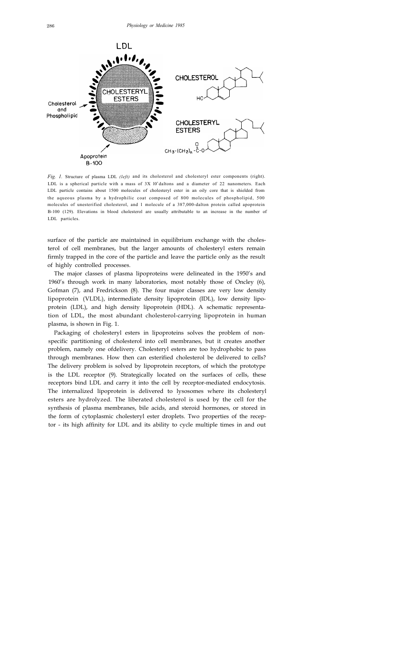

*Fig. 1.* Structure of plasma LDL *(left)* and its cholesterol and cholesteryl ester components (right). LDL is a spherical particle with a mass of  $3X$  l0° daltons and a diameter of 22 nanometers. Each LDL particle contains about 1500 molecules of cholesteryl ester in an oily core that is shielded from the aqueous plasma by a hydrophilic coat composed of 800 molecules of phospholipid, 500 molecules of unesterified cholesterol, and 1 molecule of a 387,000-dalton protein called apoprotein B-100 (129). Elevations in blood cholesterol are usually attributable to an increase in the number of LDL particles.

surface of the particle are maintained in equilibrium exchange with the cholesterol of cell membranes, but the larger amounts of cholesteryl esters remain firmly trapped in the core of the particle and leave the particle only as the result of highly controlled processes.

The major classes of plasma lipoproteins were delineated in the 1950's and 1960's through work in many laboratories, most notably those of Oncley (6), Gofman (7), and Fredrickson (8). The four major classes are very low density lipoprotein (VLDL), intermediate density lipoprotein (IDL), low density lipoprotein (LDL), and high density lipoprotein (HDL). A schematic representation of LDL, the most abundant cholesterol-carrying lipoprotein in human plasma, is shown in Fig. 1.

Packaging of cholesteryl esters in lipoproteins solves the problem of nonspecific partitioning of cholesterol into cell membranes, but it creates another problem, namely one ofdelivery. Cholesteryl esters are too hydrophobic to pass through membranes. How then can esterified cholesterol be delivered to cells? The delivery problem is solved by lipoprotein receptors, of which the prototype is the LDL receptor (9). Strategically located on the surfaces of cells, these receptors bind LDL and carry it into the cell by receptor-mediated endocytosis. The internalized lipoprotein is delivered to lysosomes where its cholesteryl esters are hydrolyzed. The liberated cholesterol is used by the cell for the synthesis of plasma membranes, bile acids, and steroid hormones, or stored in the form of cytoplasmic cholesteryl ester droplets. Two properties of the receptor - its high affinity for LDL and its ability to cycle multiple times in and out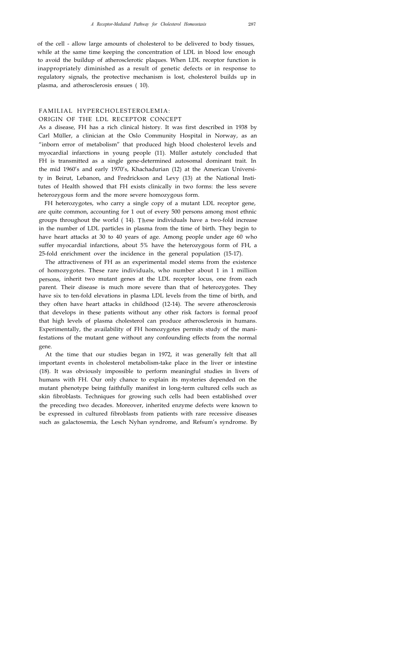of the cell - allow large amounts of cholesterol to be delivered to body tissues, while at the same time keeping the concentration of LDL in blood low enough to avoid the buildup of atherosclerotic plaques. When LDL receptor function is inappropriately diminished as a result of genetic defects or in response to regulatory signals, the protective mechanism is lost, cholesterol builds up in plasma, and atherosclerosis ensues ( 10).

## FAMILIAL HYPERCHOLESTEROLEMIA:

### ORIGIN OF THE LDL RECEPTOR CONCEPT

As a disease, FH has a rich clinical history. It was first described in 1938 by Carl Müller, a clinician at the Oslo Community Hospital in Norway, as an "inborn error of metabolism" that produced high blood cholesterol levels and myocardial infarctions in young people (11). Müller astutely concluded that FH is transmitted as a single gene-determined autosomal dominant trait. In the mid 1960's and early 1970's, Khachadurian (12) at the American University in Beirut, Lebanon, and Fredrickson and Levy (13) at the National Institutes of Health showed that FH exists clinically in two forms: the less severe heterozygous form and the more severe homozygous form.

FH heterozygotes, who carry a single copy of a mutant LDL receptor gene, are quite common, accounting for 1 out of every 500 persons among most ethnic groups throughout the world ( 14). These individuals have a two-fold increase in the number of LDL particles in plasma from the time of birth. They begin to have heart attacks at 30 to 40 years of age. Among people under age 60 who suffer myocardial infarctions, about 5% have the heterozygous form of FH, a 25-fold enrichment over the incidence in the general population (15-17).

The attractiveness of FH as an experimental model stems from the existence of homozygotes. These rare individuals, who number about 1 in 1 million persons, inherit two mutant genes at the LDL receptor locus, one from each parent. Their disease is much more severe than that of heterozygotes. They have six to ten-fold elevations in plasma LDL levels from the time of birth, and they often have heart attacks in childhood (12-14). The severe atherosclerosis that develops in these patients without any other risk factors is formal proof that high levels of plasma cholesterol can produce atherosclerosis in humans. Experimentally, the availability of FH homozygotes permits study of the manifestations of the mutant gene without any confounding effects from the normal gene.

At the time that our studies began in 1972, it was generally felt that all important events in cholesterol metabolism-take place in the liver or intestine (18). It was obviously impossible to perform meaningful studies in livers of humans with FH. Our only chance to explain its mysteries depended on the mutant phenotype being faithfully manifest in long-term cultured cells such as skin fibroblasts. Techniques for growing such cells had been established over the preceding two decades. Moreover, inherited enzyme defects were known to be expressed in cultured fibroblasts from patients with rare recessive diseases such as galactosemia, the Lesch Nyhan syndrome, and Refsum's syndrome. By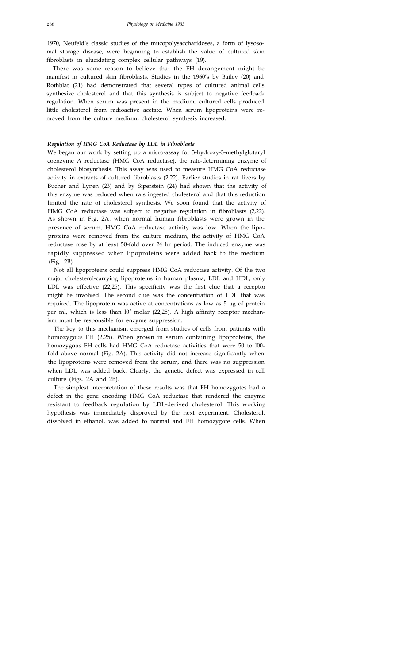1970, Neufeld's classic studies of the mucopolysaccharidoses, a form of lysosomal storage disease, were beginning to establish the value of cultured skin fibroblasts in elucidating complex cellular pathways (19).

There was some reason to believe that the FH derangement might be manifest in cultured skin fibroblasts. Studies in the 1960's by Bailey (20) and Rothblat (21) had demonstrated that several types of cultured animal cells synthesize cholesterol and that this synthesis is subject to negative feedback regulation. When serum was present in the medium, cultured cells produced little cholesterol from radioactive acetate. When serum lipoproteins were removed from the culture medium, cholesterol synthesis increased.

### *Regulation of HMG CoA Reductase by LDL in Fibroblasts*

We began our work by setting up a micro-assay for 3-hydroxy-3-methylglutaryl coenzyme A reductase (HMG CoA reductase), the rate-determining enzyme of cholesterol biosynthesis. This assay was used to measure HMG CoA reductase activity in extracts of cultured fibroblasts (2,22). Earlier studies in rat livers by Bucher and Lynen (23) and by Siperstein (24) had shown that the activity of this enzyme was reduced when rats ingested cholesterol and that this reduction limited the rate of cholesterol synthesis. We soon found that the activity of HMG CoA reductase was subject to negative regulation in fibroblasts (2,22). As shown in Fig. 2A, when normal human fibroblasts were grown in the presence of serum, HMG CoA reductase activity was low. When the lipoproteins were removed from the culture medium, the activity of HMG CoA reductase rose by at least 50-fold over 24 hr period. The induced enzyme was rapidly suppressed when lipoproteins were added back to the medium (Fig. 2B).

Not all lipoproteins could suppress HMG CoA reductase activity. Of the two major cholesterol-carrying lipoproteins in human plasma, LDL and HDL, only LDL was effective (22,25). This specificity was the first clue that a receptor might be involved. The second clue was the concentration of LDL that was required. The lipoprotein was active at concentrations as low as 5 µg of protein per ml, which is less than  $10^8$  molar (22,25). A high affinity receptor mechanism must be responsible for enzyme suppression.

The key to this mechanism emerged from studies of cells from patients with homozygous FH (2,25). When grown in serum containing lipoproteins, the homozygous FH cells had HMG CoA reductase activities that were 50 to l00 fold above normal (Fig. 2A). This activity did not increase significantly when the lipoproteins were removed from the serum, and there was no suppression when LDL was added back. Clearly, the genetic defect was expressed in cell culture (Figs. 2A and 2B).

The simplest interpretation of these results was that FH homozygotes had a defect in the gene encoding HMG CoA reductase that rendered the enzyme resistant to feedback regulation by LDL-derived cholesterol. This working hypothesis was immediately disproved by the next experiment. Cholesterol, dissolved in ethanol, was added to normal and FH homozygote cells. When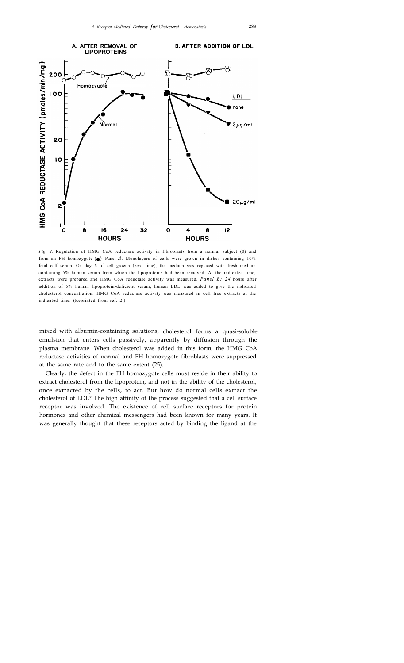

*Fig. 2.* Regulation of HMG CoA reductase activity in fibroblasts from a normal subject (0) and from an FH homozygote  $\left(\bullet\right)$ . Panel *A:* Monolayers of cells were grown in dishes containing 10% fetal calf serum. On day 6 of cell growth (zero time), the medium was replaced with fresh medium containing 5% human serum from which the lipoproteins had been removed. At the indicated time, extracts were prepared and HMG CoA reductase activity was measured. *Panel B: 24* hours after addition of 5% human lipoprotein-deficient serum, human LDL was added to give the indicated cholesterol concentration. HMG CoA reductase activity was measured in cell free extracts at the indicated time. (Reprinted from ref. 2.)

mixed with albumin-containing solutions, cholesterol forms a quasi-soluble emulsion that enters cells passively, apparently by diffusion through the plasma membrane. When cholesterol was added in this form, the HMG CoA reductase activities of normal and FH homozygote fibroblasts were suppressed at the same rate and to the same extent (25).

Clearly, the defect in the FH homozygote cells must reside in their ability to extract cholesterol from the lipoprotein, and not in the ability of the cholesterol, once extracted by the cells, to act. But how do normal cells extract the cholesterol of LDL? The high affinity of the process suggested that a cell surface receptor was involved. The existence of cell surface receptors for protein hormones and other chemical messengers had been known for many years. It was generally thought that these receptors acted by binding the ligand at the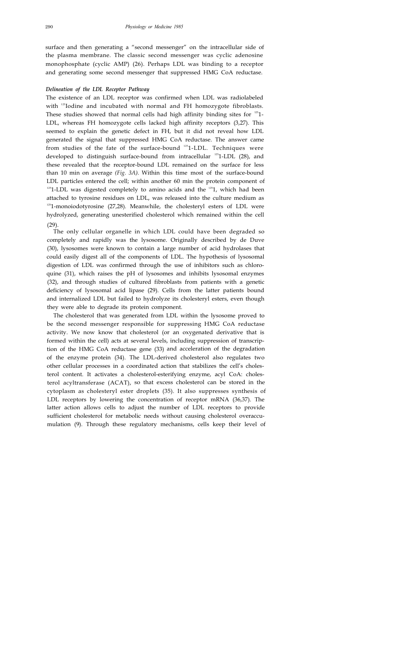surface and then generating a "second messenger" on the intracellular side of the plasma membrane. The classic second messenger was cyclic adenosine monophosphate (cyclic AMP) (26). Perhaps LDL was binding to a receptor and generating some second messenger that suppressed HMG CoA reductase.

### *Delineation of the LDL Receptor Pathway*

The existence of an LDL receptor was confirmed when LDL was radiolabeled with <sup>125</sup>Iodine and incubated with normal and FH homozygote fibroblasts. These studies showed that normal cells had high affinity binding sites for  $1251-$ LDL, whereas FH homozygote cells lacked high affinity receptors (3,27). This seemed to explain the genetic defect in FH, but it did not reveal how LDL generated the signal that suppressed HMG CoA reductase. The answer came from studies of the fate of the surface-bound <sup>125</sup>1-LDL. Techniques were developed to distinguish surface-bound from intracellular <sup>125</sup>1-LDL (28), and these revealed that the receptor-bound LDL remained on the surface for less than 10 min on average *(Fig. 3A).* Within this time most of the surface-bound LDL particles entered the cell; within another 60 min the protein component of  $125$ 1-LDL was digested completely to amino acids and the  $125$ 1, which had been attached to tyrosine residues on LDL, was released into the culture medium as  $1251$ -monoiodotyrosine (27,28). Meanwhile, the cholesteryl esters of LDL were hydrolyzed, generating unesterified cholesterol which remained within the cell (29).

The only cellular organelle in which LDL could have been degraded so completely and rapidly was the lysosome. Originally described by de Duve (30), lysosomes were known to contain a large number of acid hydrolases that could easily digest all of the components of LDL. The hypothesis of lysosomal digestion of LDL was confirmed through the use of inhibitors such as chloroquine (31), which raises the pH of lysosomes and inhibits lysosomal enzymes (32), and through studies of cultured fibroblasts from patients with a genetic deficiency of lysosomal acid lipase (29). Cells from the latter patients bound and internalized LDL but failed to hydrolyze its cholesteryl esters, even though they were able to degrade its protein component.

The cholesterol that was generated from LDL within the lysosome proved to be the second messenger responsible for suppressing HMG CoA reductase activity. We now know that cholesterol (or an oxygenated derivative that is formed within the cell) acts at several levels, including suppression of transcription of the HMG CoA reductase gene (33) and acceleration of the degradation of the enzyme protein (34). The LDL-derived cholesterol also regulates two other cellular processes in a coordinated action that stabilizes the cell's cholesterol content. It activates a cholesterol-esterifying enzyme, acyl CoA: cholesterol acyltransferase (ACAT), so that excess cholesterol can be stored in the cytoplasm as cholesteryl ester droplets (35). It also suppresses synthesis of LDL receptors by lowering the concentration of receptor mRNA (36,37). The latter action allows cells to adjust the number of LDL receptors to provide sufficient cholesterol for metabolic needs without causing cholesterol overaccumulation (9). Through these regulatory mechanisms, cells keep their level of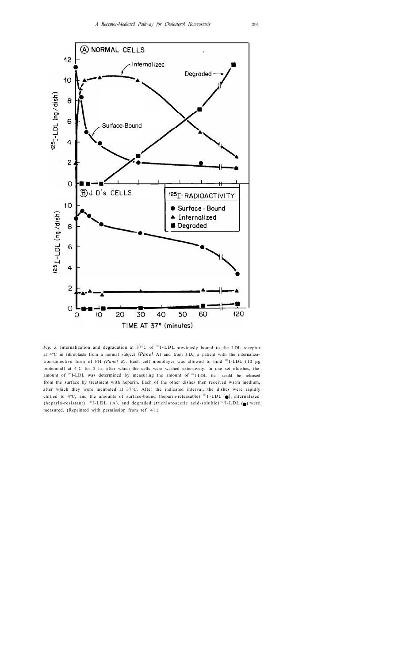

*Fig. 3.* Internalization and degradation at 37°C of <sup>125</sup>I-LDL previously bound to the LDL receptor at 4°C in fibroblasts from a normal subject *(Panel* A) and from J.D., a patient with the internalization-defective form of FH *(Panel B)*. Each cell monolayer was allowed to bind <sup>125</sup>I-LDL (10 µg protein/ml) at 4°C for 2 hr, after which the cells were washed extensively. In one set ofdishes, the amount of <sup>125</sup>I-LDL was determined by measuring the amount of <sup>125</sup><sub>I-LDL</sub> that could be released from the surface by treatment with heparin. Each of the other dishes then received warm medium, after which they were incubated at 37°C. After the indicated interval, the dishes were rapidly chilled to  $4^{\circ}$ C, and the amounts of surface-bound (heparin-releasable)  $^{125}$ 1-LDL ( $\bullet$ ), internalized (heparin-resistant) <sup>125</sup>I-LDL (A), and degraded (trichloroacetic acid-soluble) <sup>125</sup>I-LDL ( $\blacksquare$ ) were measured. (Reprinted with permission from ref. 41.)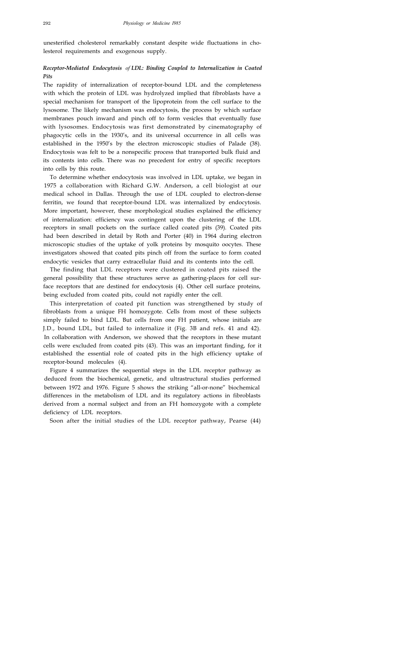unesterified cholesterol remarkably constant despite wide fluctuations in cholesterol requirements and exogenous supply.

### *Receptor-Mediated Endocytosis of LDL: Binding Coupled to Internalization in Coated Pits*

The rapidity of internalization of receptor-bound LDL and the completeness with which the protein of LDL was hydrolyzed implied that fibroblasts have a special mechanism for transport of the lipoprotein from the cell surface to the lysosome. The likely mechanism was endocytosis, the process by which surface membranes pouch inward and pinch off to form vesicles that eventually fuse with lysosomes. Endocytosis was first demonstrated by cinematography of phagocytic cells in the 1930's, and its universal occurrence in all cells was established in the 1950's by the electron microscopic studies of Palade (38). Endocytosis was felt to be a nonspecific process that transported bulk fluid and its contents into cells. There was no precedent for entry of specific receptors into cells by this route.

To determine whether endocytosis was involved in LDL uptake, we began in 1975 a collaboration with Richard G.W. Anderson, a cell biologist at our medical school in Dallas. Through the use of LDL coupled to electron-dense ferritin, we found that receptor-bound LDL was internalized by endocytosis. More important, however, these morphological studies explained the efficiency of internalization: efficiency was contingent upon the clustering of the LDL receptors in small pockets on the surface called coated pits (39). Coated pits had been described in detail by Roth and Porter (40) in 1964 during electron microscopic studies of the uptake of yolk proteins by mosquito oocytes. These investigators showed that coated pits pinch off from the surface to form coated endocytic vesicles that carry extracellular fluid and its contents into the cell.

The finding that LDL receptors were clustered in coated pits raised the general possibility that these structures serve as gathering-places for cell surface receptors that are destined for endocytosis (4). Other cell surface proteins, being excluded from coated pits, could not rapidly enter the cell.

This interpretation of coated pit function was strengthened by study of fibroblasts from a unique FH homozygote. Cells from most of these subjects simply failed to bind LDL. But cells from one FH patient, whose initials are J.D., bound LDL, but failed to internalize it (Fig. 3B and refs. 41 and 42). In collaboration with Anderson, we showed that the receptors in these mutant cells were excluded from coated pits (43). This was an important finding, for it established the essential role of coated pits in the high efficiency uptake of receptor-bound molecules (4).

Figure 4 summarizes the sequential steps in the LDL receptor pathway as deduced from the biochemical, genetic, and ultrastructural studies performed between 1972 and 1976. Figure 5 shows the striking "all-or-none" biochemical differences in the metabolism of LDL and its regulatory actions in fibroblasts derived from a normal subject and from an FH homozygote with a complete deficiency of LDL receptors.

Soon after the initial studies of the LDL receptor pathway, Pearse (44)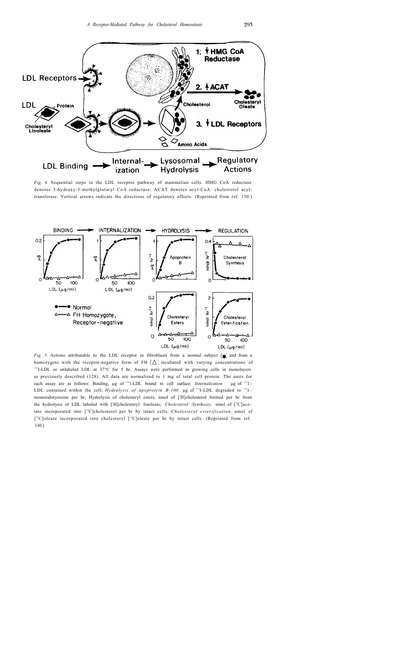

*Fig. 4.* Sequential steps in the LDL receptor pathway of mammalian cells. HMG CoA reductase denotes 3-hydroxy-3-methylglutaryl CoA reductase; ACAT denotes acyl-CoA: cholesterol acyltransferase. Vertical arrows indicate the directions of regulatory effects. (Reprinted from ref. 130.)



*Fig. 5.* Actions attributable to the LDL receptor in fibroblasts from a normal subject  $\left(\bullet\right)$  and from a homozygote with the receptor-negative form of FH  $(\Delta)$  incubated with varying concentrations of <sup>125</sup>I-LDL or unlabeled LDL at 37°C for 5 hr. Assays were performed in growing cells in monolayers as previously described (128). All data are normalized to 1 mg of total cell protein. The units for each assay are as follows: Binding, µg of <sup>125</sup>1-LDL bound to cell surface; *Internalization* µg of <sup>125</sup>1-LDL contained within the cell; *Hydrolysis of apoprotein B-100*, µg of <sup>125</sup>I-LDL degraded to <sup>125</sup>1monoiodotyrosine per hr; Hydrolysis of cholesteryl esters, nmol of [3H]cholesterol formed per hr from the hydrolysis of LDL labeled with [<sup>3</sup>H]cholesteryl linoleate; *Cholesterol Synthesis*, nmol of [<sup>14</sup>C]acetate incorporated into [14C]cholesterol per hr by intact cells; *Cholesterol esterification,* nmol of  $\int_0^{14}C$ ]oleate incorporated into cholesteryl  $\int_0^{14}C$ ]oleate per hr by intact cells. (Reprinted from ref. 130.)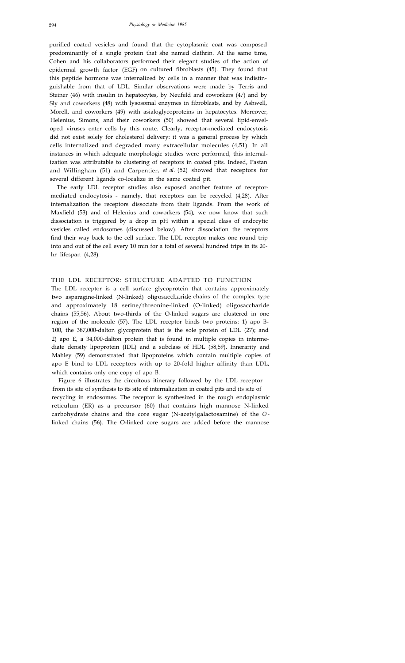purified coated vesicles and found that the cytoplasmic coat was composed predominantly of a single protein that she named clathrin. At the same time, Cohen and his collaborators performed their elegant studies of the action of epidermal growth factor (EGF) on cultured fibroblasts (45). They found that this peptide hormone was internalized by cells in a manner that was indistinguishable from that of LDL. Similar observations were made by Terris and Steiner (46) with insulin in hepatocytes, by Neufeld and coworkers (47) and by Sly and coworkers (48) with lysosomal enzymes in fibroblasts, and by Ashwell, Morell, and coworkers (49) with asialoglycoproteins in hepatocytes. Moreover, Helenius, Simons, and their coworkers (50) showed that several lipid-enveloped viruses enter cells by this route. Clearly, receptor-mediated endocytosis did not exist solely for cholesterol delivery: it was a general process by which cells internalized and degraded many extracellular molecules (4,51). In all instances in which adequate morphologic studies were performed, this internalization was attributable to clustering of receptors in coated pits. Indeed, Pastan and Willingham (51) and Carpentier, *et al.* (52) showed that receptors for several different ligands co-localize in the same coated pit.

The early LDL receptor studies also exposed another feature of receptormediated endocytosis - namely, that receptors can be recycled (4,28). After internalization the receptors dissociate from their ligands. From the work of Maxfield (53) and of Helenius and coworkers (54), we now know that such dissociation is triggered by a drop in pH within a special class of endocytic vesicles called endosomes (discussed below). After dissociation the receptors find their way back to the cell surface. The LDL receptor makes one round trip into and out of the cell every 10 min for a total of several hundred trips in its 20 hr lifespan (4,28).

### THE LDL RECEPTOR: STRUCTURE ADAPTED TO FUNCTION

The LDL receptor is a cell surface glycoprotein that contains approximately two asparagine-linked (N-linked) oligosaccharide chains of the complex type and approximately 18 serine/threonine-linked (O-linked) oligosaccharide chains (55,56). About two-thirds of the O-linked sugars are clustered in one region of the molecule (57). The LDL receptor binds two proteins: 1) apo B-100, the 387,000-dalton glycoprotein that is the sole protein of LDL (27); and 2) apo E, a 34,000-dalton protein that is found in multiple copies in intermediate density lipoprotein (IDL) and a subclass of HDL (58,59). Innerarity and Mahley (59) demonstrated that lipoproteins which contain multiple copies of apo E bind to LDL receptors with up to 20-fold higher affinity than LDL, which contains only one copy of apo B.

Figure 6 illustrates the circuitous itinerary followed by the LDL receptor from its site of synthesis to its site of internalization in coated pits and its site of recycling in endosomes. The receptor is synthesized in the rough endoplasmic reticulum (ER) as a precursor (60) that contains high mannose N-linked carbohydrate chains and the core sugar (N-acetylgalactosamine) of the *O*  linked chains (56). The O-linked core sugars are added before the mannose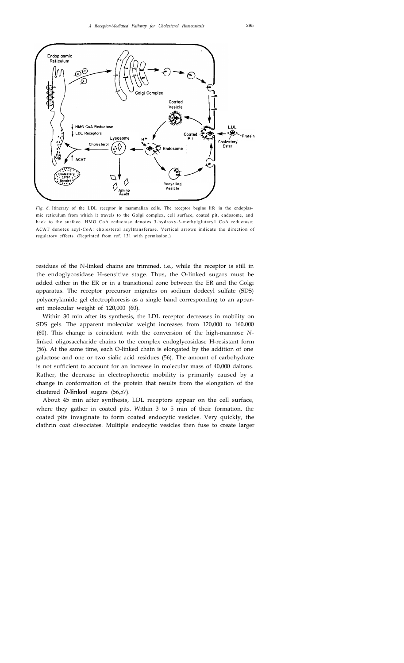

*Fig. 6.* Itinerary of the LDL receptor in mammalian cells. The receptor begins life in the endoplasmic reticulum from which it travels to the Golgi complex, cell surface, coated pit, endosome, and back to the surface. HMG CoA reductase denotes 3-hydroxy-3-methylglutary1 CoA reductase; ACAT denotes acyl-CoA: cholesterol acyltransferase. Vertical arrows indicate the direction of regulatory effects. (Reprinted from ref. 131 with permission.)

residues of the N-linked chains are trimmed, i.e., while the receptor is still in the endoglycosidase H-sensitive stage. Thus, the O-linked sugars must be added either in the ER or in a transitional zone between the ER and the Golgi apparatus. The receptor precursor migrates on sodium dodecyl sulfate (SDS) polyacrylamide gel electrophoresis as a single band corresponding to an apparent molecular weight of 120,000 (60).

Within 30 min after its synthesis, the LDL receptor decreases in mobility on SDS gels. The apparent molecular weight increases from 120,000 to 160,000 (60). This change is coincident with the conversion of the high-mannose *N*linked oligosaccharide chains to the complex endoglycosidase H-resistant form (56). At the same time, each O-linked chain is elongated by the addition of one galactose and one or two sialic acid residues (56). The amount of carbohydrate is not sufficient to account for an increase in molecular mass of 40,000 daltons. Rather, the decrease in electrophoretic mobility is primarily caused by a change in conformation of the protein that results from the elongation of the clustered  $\ddot{\textbf{O}}$ -linked sugars (56,57).

About 45 min after synthesis, LDL receptors appear on the cell surface, where they gather in coated pits. Within 3 to 5 min of their formation, the coated pits invaginate to form coated endocytic vesicles. Very quickly, the clathrin coat dissociates. Multiple endocytic vesicles then fuse to create larger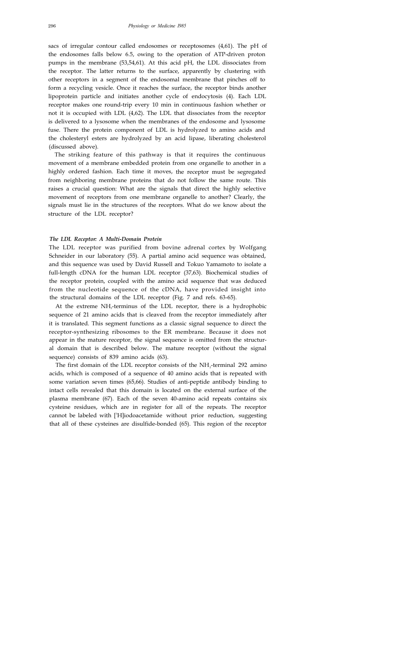sacs of irregular contour called endosomes or receptosomes (4,61). The pH of the endosomes falls below 6.5, owing to the operation of ATP-driven proton pumps in the membrane (53,54,61). At this acid pH, the LDL dissociates from the receptor. The latter returns to the surface, apparently by clustering with other receptors in a segment of the endosomal membrane that pinches off to form a recycling vesicle. Once it reaches the surface, the receptor binds another lipoprotein particle and initiates another cycle of endocytosis (4). Each LDL receptor makes one round-trip every 10 min in continuous fashion whether or not it is occupied with LDL (4,62). The LDL that dissociates from the receptor is delivered to a lysosome when the membranes of the endosome and lysosome fuse. There the protein component of LDL is hydrolyzed to amino acids and the cholesteryl esters are hydrolyzed by an acid lipase, liberating cholesterol (discussed above).

The striking feature of this pathway is that it requires the continuous movement of a membrane embedded protein from one organelle to another in a highly ordered fashion. Each time it moves, the receptor must be segregated from neighboring membrane proteins that do not follow the same route. This raises a crucial question: What are the signals that direct the highly selective movement of receptors from one membrane organelle to another? Clearly, the signals must lie in the structures of the receptors. What do we know about the structure of the LDL receptor?

### *The LDL Receptor: A Multi-Domain Protein*

The LDL receptor was purified from bovine adrenal cortex by Wolfgang Schneider in our laboratory (55). A partial amino acid sequence was obtained, and this sequence was used by David Russell and Tokuo Yamamoto to isolate a full-length cDNA for the human LDL receptor (37,63). Biochemical studies of the receptor protein, coupled with the amino acid sequence that was deduced from the nucleotide sequence of the cDNA, have provided insight into the structural domains of the LDL receptor (Fig. 7 and refs. 63-65).

At the extreme NH<sub>2</sub>-terminus of the LDL receptor, there is a hydrophobic sequence of 21 amino acids that is cleaved from the receptor immediately after it is translated. This segment functions as a classic signal sequence to direct the receptor-synthesizing ribosomes to the ER membrane. Because it does not appear in the mature receptor, the signal sequence is omitted from the structural domain that is described below. The mature receptor (without the signal sequence) consists of 839 amino acids (63).

The first domain of the LDL receptor consists of the  $NH<sub>2</sub>$ -terminal 292 amino acids, which is composed of a sequence of 40 amino acids that is repeated with some variation seven times (65,66). Studies of anti-peptide antibody binding to intact cells revealed that this domain is located on the external surface of the plasma membrane (67). Each of the seven 40-amino acid repeats contains six cysteine residues, which are in register for all of the repeats. The receptor cannot be labeled with [<sup>3</sup>H]iodoacetamide without prior reduction, suggesting that all of these cysteines are disulfide-bonded (65). This region of the receptor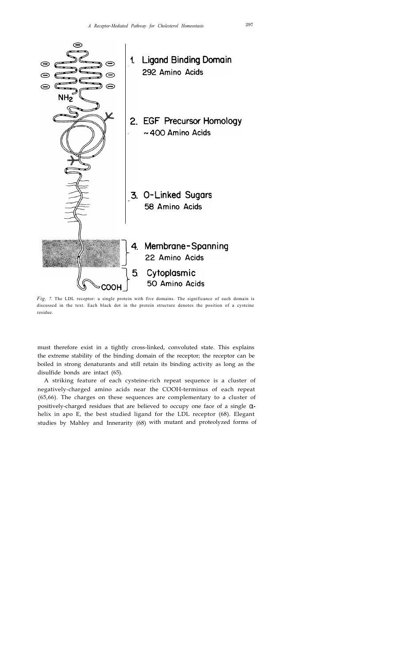

*Fig. 7.* The LDL receptor: a single protein with five domains. The significance of each domain is discussed in the text. Each black dot in the protein structure denotes the position of a cysteine residue.

must therefore exist in a tightly cross-linked, convoluted state. This explains the extreme stability of the binding domain of the receptor; the receptor can be boiled in strong denaturants and still retain its binding activity as long as the disulfide bonds are intact (65).

A striking feature of each cysteine-rich repeat sequence is a cluster of negatively-charged amino acids near the COOH-terminus of each repeat (65,66). The charges on these sequences are complementary to a cluster of positively-charged residues that are believed to occupy one face of a single  $\alpha$ helix in apo E, the best studied ligand for the LDL receptor (68). Elegant studies by Mahley and Innerarity (68) with mutant and proteolyzed forms of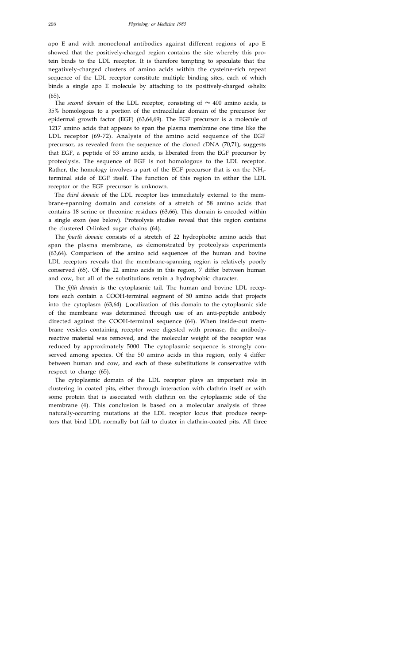apo E and with monoclonal antibodies against different regions of apo E showed that the positively-charged region contains the site whereby this protein binds to the LDL receptor. It is therefore tempting to speculate that the negatively-charged clusters of amino acids within the cysteine-rich repeat sequence of the LDL receptor constitute multiple binding sites, each of which binds a single apo E molecule by attaching to its positively-charged  $\alpha$ -helix (65).

The *second domain* of the LDL receptor, consisting of  $\sim$  400 amino acids, is 35% homologous to a portion of the extracellular domain of the precursor for epidermal growth factor (EGF) (63,64,69). The EGF precursor is a molecule of 1217 amino acids that appears to span the plasma membrane one time like the LDL receptor (69-72). Analysis of the amino acid sequence of the EGF precursor, as revealed from the sequence of the cloned cDNA (70,71), suggests that EGF, a peptide of 53 amino acids, is liberated from the EGF precursor by proteolysis. The sequence of EGF is not homologous to the LDL receptor. Rather, the homology involves a part of the EGF precursor that is on the  $NH<sub>2</sub>$ terminal side of EGF itself. The function of this region in either the LDL receptor or the EGF precursor is unknown.

The *third domain* of the LDL receptor lies immediately external to the membrane-spanning domain and consists of a stretch of 58 amino acids that contains 18 serine or threonine residues (63,66). This domain is encoded within a single exon (see below). Proteolysis studies reveal that this region contains the clustered O-linked sugar chains (64).

The *fourth domain* consists of a stretch of 22 hydrophobic amino acids that span the plasma membrane, as demonstrated by proteolysis experiments (63,64). Comparison of the amino acid sequences of the human and bovine LDL receptors reveals that the membrane-spanning region is relatively poorly conserved (65). Of the 22 amino acids in this region, 7 differ between human and cow, but all of the substitutions retain a hydrophobic character.

The *fifth domain* is the cytoplasmic tail. The human and bovine LDL receptors each contain a COOH-terminal segment of 50 amino acids that projects into the cytoplasm (63,64). Localization of this domain to the cytoplasmic side of the membrane was determined through use of an anti-peptide antibody directed against the COOH-terminal sequence (64). When inside-out membrane vesicles containing receptor were digested with pronase, the antibodyreactive material was removed, and the molecular weight of the receptor was reduced by approximately 5000. The cytoplasmic sequence is strongly conserved among species. Of the 50 amino acids in this region, only 4 differ between human and cow, and each of these substitutions is conservative with respect to charge (65).

The cytoplasmic domain of the LDL receptor plays an important role in clustering in coated pits, either through interaction with clathrin itself or with some protein that is associated with clathrin on the cytoplasmic side of the membrane (4). This conclusion is based on a molecular analysis of three naturally-occurring mutations at the LDL receptor locus that produce receptors that bind LDL normally but fail to cluster in clathrin-coated pits. All three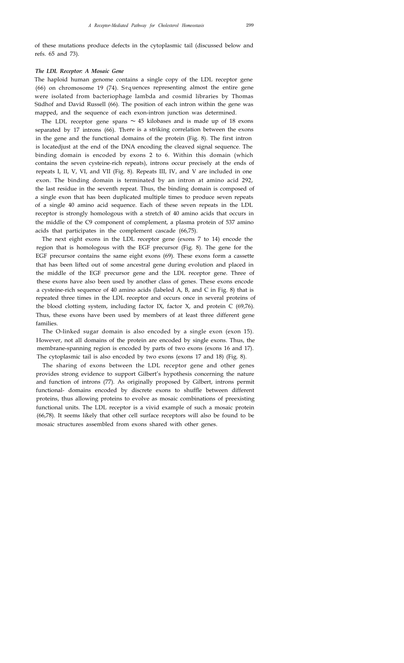of these mutations produce defects in the cytoplasmic tail (discussed below and refs. 65 and 73).

### *The LDL Receptor: A Mosaic Gene*

The haploid human genome contains a single copy of the LDL receptor gene (66) on chromosome 19 (74). Sequences representing almost the entire gene were isolated from bacteriophage lambda and cosmid libraries by Thomas Südhof and David Russell (66). The position of each intron within the gene was mapped, and the sequence of each exon-intron junction was determined.

The LDL receptor gene spans  $\sim$  45 kilobases and is made up of 18 exons separated by 17 introns (66). There is a striking correlation between the exons in the gene and the functional domains of the protein (Fig. 8). The first intron is locatedjust at the end of the DNA encoding the cleaved signal sequence. The binding domain is encoded by exons 2 to 6. Within this domain (which contains the seven cysteine-rich repeats), introns occur precisely at the ends of repeats I, II, V, VI, and VII (Fig. 8). Repeats III, IV, and V are included in one exon. The binding domain is terminated by an intron at amino acid 292, the last residue in the seventh repeat. Thus, the binding domain is composed of a single exon that has been duplicated multiple times to produce seven repeats of a single 40 amino acid sequence. Each of these seven repeats in the LDL receptor is strongly homologous with a stretch of 40 amino acids that occurs in the middle of the C9 component of complement, a plasma protein of 537 amino acids that participates in the complement cascade (66,75).

The next eight exons in the LDL receptor gene (exons 7 to 14) encode the region that is homologous with the EGF precursor (Fig. 8). The gene for the EGF precursor contains the same eight exons (69). These exons form a cassette that has been lifted out of some ancestral gene during evolution and placed in the middle of the EGF precursor gene and the LDL receptor gene. Three of these exons have also been used by another class of genes. These exons encode a cysteine-rich sequence of 40 amino acids (labeled A, B, and C in Fig. 8) that is repeated three times in the LDL receptor and occurs once in several proteins of the blood clotting system, including factor IX, factor X, and protein C (69,76). Thus, these exons have been used by members of at least three different gene families.

The O-linked sugar domain is also encoded by a single exon (exon 15). However, not all domains of the protein are encoded by single exons. Thus, the membrane-spanning region is encoded by parts of two exons (exons 16 and 17). The cytoplasmic tail is also encoded by two exons (exons 17 and 18) (Fig. 8).

The sharing of exons between the LDL receptor gene and other genes provides strong evidence to support Gilbert's hypothesis concerning the nature and function of introns (77). As originally proposed by Gilbert, introns permit functional- domains encoded by discrete exons to shuffle between different proteins, thus allowing proteins to evolve as mosaic combinations of preexisting functional units. The LDL receptor is a vivid example of such a mosaic protein (66,78). It seems likely that other cell surface receptors will also be found to be mosaic structures assembled from exons shared with other genes.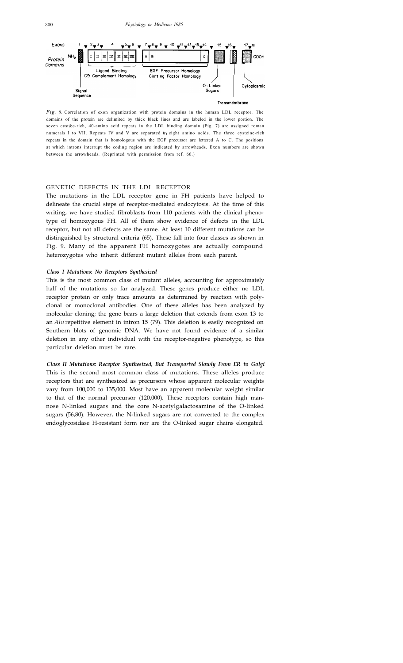

*Fig. 8.* Correlation of exon organization with protein domains in the human LDL receptor. The domains of the protein are delimited by thick black lines and are labeled in the lower portion. The seven cyst&e-rich, 40-amino acid repeats in the LDL binding domain (Fig. 7) are assigned roman numerals I to VII. Repeats IV and V are separated by eight amino acids. The three cysteine-rich repeats in the domain that is homologous with the EGF precursor are lettered A to C. The positions at which introns interrupt the coding region are indicated by arrowheads. Exon numbers are shown between the arrowheads. (Reprinted with permission from ref. 66.)

### GENETIC DEFECTS IN THE LDL RECEPTOR

The mutations in the LDL receptor gene in FH patients have helped to delineate the crucial steps of receptor-mediated endocytosis. At the time of this writing, we have studied fibroblasts from 110 patients with the clinical phenotype of homozygous FH. All of them show evidence of defects in the LDL receptor, but not all defects are the same. At least 10 different mutations can be distinguished by structural criteria (65). These fall into four classes as shown in Fig. 9. Many of the apparent FH homozygotes are actually compound heterozygotes who inherit different mutant alleles from each parent.

#### *Class I Mutations: No Receptors Synthesized*

This is the most common class of mutant alleles, accounting for approximately half of the mutations so far analyzed. These genes produce either no LDL receptor protein or only trace amounts as determined by reaction with polyclonal or monoclonal antibodies. One of these alleles has been analyzed by molecular cloning; the gene bears a large deletion that extends from exon 13 to an *AlU* repetitive element in intron 15 (79). This deletion is easily recognized on Southern blots of genomic DNA. We have not found evidence of a similar deletion in any other individual with the receptor-negative phenotype, so this particular deletion must be rare.

*Class II Mutations: Receptor Synthesized, But Transported Slowly From ER to Golgi* This is the second most common class of mutations. These alleles produce receptors that are synthesized as precursors whose apparent molecular weights vary from 100,000 to 135,000. Most have an apparent molecular weight similar to that of the normal precursor (120,000). These receptors contain high mannose N-linked sugars and the core N-acetylgalactosamine of the O-linked sugars (56,80). However, the N-linked sugars are not converted to the complex endoglycosidase H-resistant form nor are the O-linked sugar chains elongated.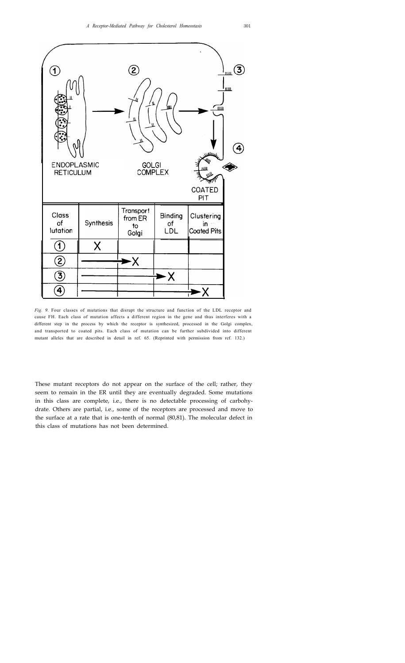

*Fig. 9.* Four classes of mutations that disrupt the structure and function of the LDL receptor and cause FH. Each class of mutation affects a different region in the gene and thus interferes with a different step in the process by which the receptor is synthesized, processed in the Golgi complex, and transported to coated pits. Each class of mutation can be further subdivided into different mutant alleles that are described in detail in ref. 65. (Reprinted with permission from ref. 132.)

These mutant receptors do not appear on the surface of the cell; rather, they seem to remain in the ER until they are eventually degraded. Some mutations in this class are complete, i.e., there is no detectable processing of carbohydrate. Others are partial, i.e., some of the receptors are processed and move to the surface at a rate that is one-tenth of normal (80,81). The molecular defect in this class of mutations has not been determined.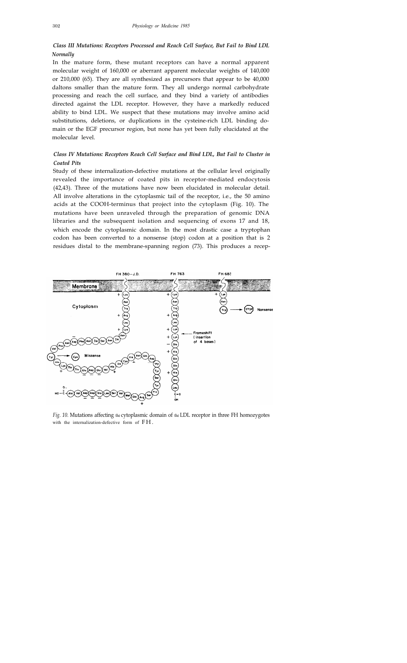### *Class III Mutations: Receptors Processed and Reach Cell Surface, But Fail to Bind LDL Normally*

In the mature form, these mutant receptors can have a normal apparent molecular weight of 160,000 or aberrant apparent molecular weights of 140,000 or 210,000 (65). They are all synthesized as precursors that appear to be 40,000 daltons smaller than the mature form. They all undergo normal carbohydrate processing and reach the cell surface, and they bind a variety of antibodies directed against the LDL receptor. However, they have a markedly reduced ability to bind LDL. We suspect that these mutations may involve amino acid substitutions, deletions, or duplications in the cysteine-rich LDL binding domain or the EGF precursor region, but none has yet been fully elucidated at the molecular level.

### *Class IV Mutations: Receptors Reach Cell Surface and Bind LDL, But Fail to Cluster in Coated Pits*

Study of these internalization-defective mutations at the cellular level originally revealed the importance of coated pits in receptor-mediated endocytosis (42,43). Three of the mutations have now been elucidated in molecular detail. All involve alterations in the cytoplasmic tail of the receptor, i.e., the 50 amino acids at the COOH-terminus that project into the cytoplasm (Fig. 10). The mutations have been unraveled through the preparation of genomic DNA libraries and the subsequent isolation and sequencing of exons 17 and 18, which encode the cytoplasmic domain. In the most drastic case a tryptophan codon has been converted to a nonsense (stop) codon at a position that is 2 residues distal to the membrane-spanning region (73). This produces a recep-



*Fig. 10.* Mutations affecting the cytoplasmic domain of the LDL receptor in three FH homozygotes with the internalization-defective form of  $FH$ .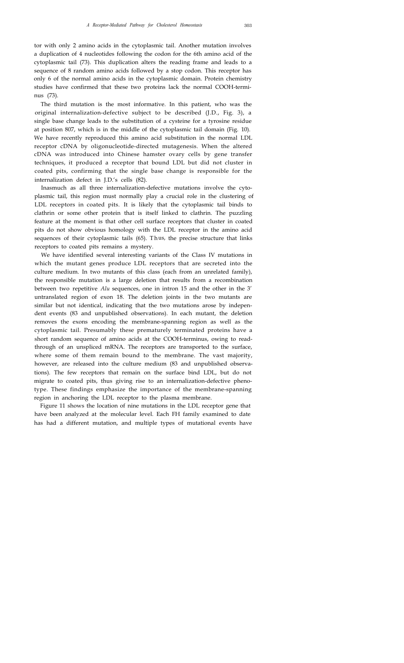tor with only 2 amino acids in the cytoplasmic tail. Another mutation involves a duplication of 4 nucleotides following the codon for the 6th amino acid of the cytoplasmic tail (73). This duplication alters the reading frame and leads to a sequence of 8 random amino acids followed by a stop codon. This receptor has only 6 of the normal amino acids in the cytoplasmic domain. Protein chemistry studies have confirmed that these two proteins lack the normal COOH-terminus (73).

The third mutation is the most informative. In this patient, who was the original internalization-defective subject to be described (J.D., Fig. 3), a single base change leads to the substitution of a cysteine for a tyrosine residue at position 807, which is in the middle of the cytoplasmic tail domain (Fig. 10). We have recently reproduced this amino acid substitution in the normal LDL receptor cDNA by oligonucleotide-directed mutagenesis. When the altered cDNA was introduced into Chinese hamster ovary cells by gene transfer techniques, it produced a receptor that bound LDL but did not cluster in coated pits, confirming that the single base change is responsible for the internalization defect in J.D.'s cells (82).

Inasmuch as all three internalization-defective mutations involve the cytoplasmic tail, this region must normally play a crucial role in the clustering of LDL receptors in coated pits. It is likely that the cytoplasmic tail binds to clathrin or some other protein that is itself linked to clathrin. The puzzling feature at the moment is that other cell surface receptors that cluster in coated pits do not show obvious homology with the LDL receptor in the amino acid sequences of their cytoplasmic tails (65). Thus, the precise structure that links receptors to coated pits remains a mystery.

We have identified several interesting variants of the Class IV mutations in which the mutant genes produce LDL receptors that are secreted into the culture medium. In two mutants of this class (each from an unrelated family), the responsible mutation is a large deletion that results from a recombination between two repetitive *Alu* sequences, one in intron 15 and the other in the 3' untranslated region of exon 18. The deletion joints in the two mutants are similar but not identical, indicating that the two mutations arose by independent events (83 and unpublished observations). In each mutant, the deletion removes the exons encoding the membrane-spanning region as well as the cytoplasmic tail. Presumably these prematurely terminated proteins have a short random sequence of amino acids at the COOH-terminus, owing to readthrough of an unspliced mRNA. The receptors are transported to the surface, where some of them remain bound to the membrane. The vast majority, however, are released into the culture medium (83 and unpublished observations). The few receptors that remain on the surface bind LDL, but do not migrate to coated pits, thus giving rise to an internalization-defective phenotype. These findings emphasize the importance of the membrane-spanning region in anchoring the LDL receptor to the plasma membrane.

Figure 11 shows the location of nine mutations in the LDL receptor gene that have been analyzed at the molecular level. Each FH family examined to date has had a different mutation, and multiple types of mutational events have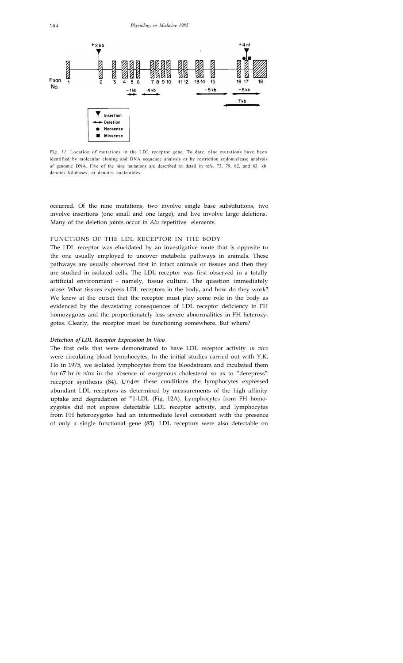

*Fig. 11.* Location of mutations in the LDL receptor gene. To date, nine mutations have been identified by molecular cloning and DNA sequence analysis or by restriction endonuclease analysis of genomic DNA. Five of the nine mutations are described in detail in refs. 73, 79, 82, and 83. kb denotes kilobases; nt denotes nucleotides.

occurred. Of the nine mutations, two involve single base substitutions, two involve insertions (one small and one large), and live involve large deletions. Many of the deletion joints occur in *Alu* repetitive elements.

### FUNCTIONS OF THE LDL RECEPTOR IN THE BODY

The LDL receptor was elucidated by an investigative route that is opposite to the one usually employed to uncover metabolic pathways in animals. These pathways are usually observed first in intact animals or tissues and then they are studied in isolated cells. The LDL receptor was first observed in a totally artificial environment - namely, tissue culture. The question immediately arose: What tissues express LDL receptors in the body, and how do they work? We knew at the outset that the receptor must play some role in the body as evidenced by the devastating consequences of LDL receptor deficiency in FH homozygotes and the proportionately less severe abnormalities in FH heterozygotes. Clearly, the receptor must be functioning somewhere. But where?

### *Detection of LDL Receptor Expression In Vivo*

The first cells that were demonstrated to have LDL receptor activity *in vivo* were circulating blood lymphocytes. In the initial studies carried out with Y.K. Ho in 1975, we isolated lymphocytes from the bloodstream and incubated them for 67 hr *in vitro* in the absence of exogenous cholesterol so as to "derepress" receptor synthesis (84). Under these conditions the lymphocytes expressed abundant LDL receptors as determined by measurements of the high affinity uptake and degradation of 1251-LDL (Fig. 12A). Lymphocytes from FH homozygotes did not express detectable LDL receptor activity, and lymphocytes from FH heterozygotes had an intermediate level consistent with the presence of only a single functional gene (85). LDL receptors were also detectable on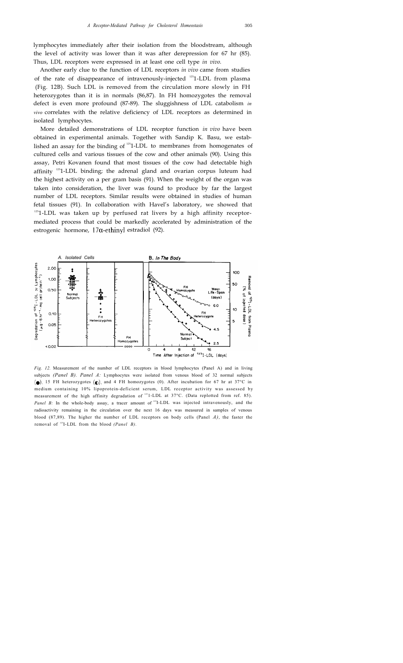lymphocytes immediately after their isolation from the bloodstream, although the level of activity was lower than it was after derepression for 67 hr (85). Thus, LDL receptors were expressed in at least one cell type *in vivo.*

Another early clue to the function of LDL receptors *in vivo* came from studies of the rate of disappearance of intravenously-injected <sup>125</sup>1-LDL from plasma (Fig. 12B). Such LDL is removed from the circulation more slowly in FH heterozygotes than it is in normals (86,87). In FH homozygotes the removal defect is even more profound (87-89). The sluggishness of LDL catabolism *in vivo* correlates with the relative deficiency of LDL receptors as determined in isolated lymphocytes.

More detailed demonstrations of LDL receptor function *in vivo* have been obtained in experimental animals. Together with Sandip K. Basu, we established an assay for the binding of <sup>125</sup>1-LDL to membranes from homogenates of cultured cells and various tissues of the cow and other animals (90). Using this assay, Petri Kovanen found that most tissues of the cow had detectable high affinity<sup>125</sup>1-LDL binding; the adrenal gland and ovarian corpus luteum had the highest activity on a per gram basis (91). When the weight of the organ was taken into consideration, the liver was found to produce by far the largest number of LDL receptors. Similar results were obtained in studies of human fetal tissues (91). In collaboration with Havel's laboratory, we showed that  $1251$ -LDL was taken up by perfused rat livers by a high affinity receptormediated process that could be markedly accelerated by administration of the estrogenic hormone,  $17\alpha$ -ethinyl estradiol (92).



*Fig. 12.* Measurement of the number of LDL receptors in blood lymphocytes (Panel A) and in living subjects (Panel B). Panel A: Lymphocytes were isolated from venous blood of 32 normal subjects (a), 15 FH heterozygotes  $\circled{c}$ ), and 4 FH homozygotes (0). After incubation for 67 hr at 37°C in medium containing 10% lipoprotein-deficient serum, LDL receptor activity was assessed by measurement of the high affinity degradation of  $^{125}$  1-LDL at 37°C. (Data replotted from ref. 85). Panel B: In the whole-body assay, a tracer amount of <sup>125</sup>I-LDL was injected intravenously, and the radioactivity remaining in the circulation over the next 16 days was measured in samples of venous blood (87,89). The higher the number of LDL receptors on body cells (Panel *A),* the faster the removal of 125I-LDL from the blood *(Panel B).*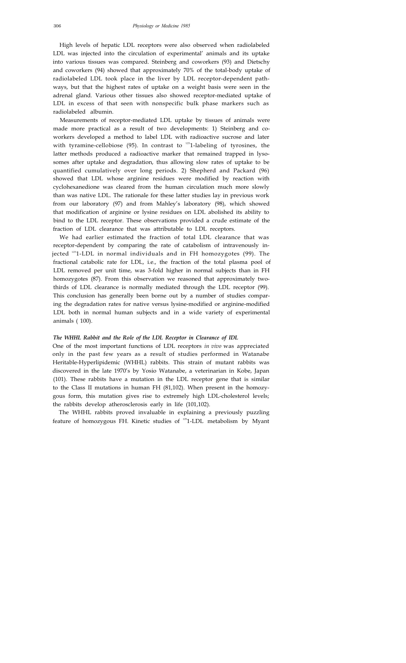High levels of hepatic LDL receptors were also observed when radiolabeled LDL was injected into the circulation of experimental' animals and its uptake into various tissues was compared. Steinberg and coworkers (93) and Dietschy and coworkers (94) showed that approximately 70% of the total-body uptake of radiolabeled LDL took place in the liver by LDL receptor-dependent pathways, but that the highest rates of uptake on a weight basis were seen in the adrenal gland. Various other tissues also showed receptor-mediated uptake of LDL in excess of that seen with nonspecific bulk phase markers such as radiolabeled albumin.

Measurements of receptor-mediated LDL uptake by tissues of animals were made more practical as a result of two developments: 1) Steinberg and coworkers developed a method to label LDL with radioactive sucrose and later with tyramine-cellobiose  $(95)$ . In contrast to <sup>125</sup>1-labeling of tyrosines, the latter methods produced a radioactive marker that remained trapped in lysosomes after uptake and degradation, thus allowing slow rates of uptake to be quantified cumulatively over long periods. 2) Shepherd and Packard (96) showed that LDL whose arginine residues were modified by reaction with cyclohexanedione was cleared from the human circulation much more slowly than was native LDL. The rationale for these latter studies lay in previous work from our laboratory (97) and from Mahley's laboratory (98), which showed that modification of arginine or lysine residues on LDL abolished its ability to bind to the LDL receptor. These observations provided a crude estimate of the fraction of LDL clearance that was attributable to LDL receptors.

We had earlier estimated the fraction of total LDL clearance that was receptor-dependent by comparing the rate of catabolism of intravenously injected <sup>125</sup>1-LDL in normal individuals and in FH homozygotes (99). The fractional catabolic rate for LDL, i.e., the fraction of the total plasma pool of LDL removed per unit time, was 3-fold higher in normal subjects than in FH homozygotes (87). From this observation we reasoned that approximately twothirds of LDL clearance is normally mediated through the LDL receptor (99). This conclusion has generally been borne out by a number of studies comparing the degradation rates for native versus lysine-modified or arginine-modified LDL both in normal human subjects and in a wide variety of experimental animals ( 100).

### *The WHHL Rabbit and the Role of the LDL Receptor in Clearance of IDL*

One of the most important functions of LDL receptors *in vivo* was appreciated only in the past few years as a result of studies performed in Watanabe Heritable-Hyperlipidemic (WHHL) rabbits. This strain of mutant rabbits was discovered in the late 1970's by Yosio Watanabe, a veterinarian in Kobe, Japan (101). These rabbits have a mutation in the LDL receptor gene that is similar to the Class II mutations in human FH (81,102). When present in the homozygous form, this mutation gives rise to extremely high LDL-cholesterol levels; the rabbits develop atherosclerosis early in life (101,102).

The WHHL rabbits proved invaluable in explaining a previously puzzling feature of homozygous FH. Kinetic studies of <sup>125</sup>1-LDL metabolism by Myant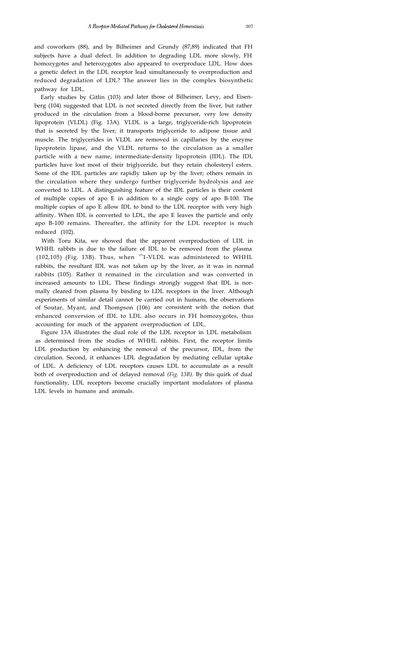and coworkers (88), and by Bilheimer and Grundy (87,89) indicated that FH subjects have a dual defect. In addition to degrading LDL more slowly, FH homozygotes and heterozygotes also appeared to overproduce LDL. How does a genetic defect in the LDL receptor lead simultaneously to overproduction and reduced degradation of LDL? The answer lies in the complex biosynthetic pathway for LDL.

Early studies by Gitlin (103) and later those of Bilheimer, Levy, and Eisenberg (104) suggested that LDL is not secreted directly from the liver, but rather produced in the circulation from a blood-borne precursor, very low density lipoprotein (VLDL) (Fig. 13A). VLDL is a large, triglyceride-rich lipoprotein that is secreted by the liver; it transports triglyceride to adipose tissue and muscle. The triglycerides in VLDL are removed in capillaries by the enzyme lipoprotein lipase, and the VLDL returns to the circulation as a smaller particle with a new name, intermediate-density lipoprotein (IDL). The IDL particles have lost most of their triglyceride, but they retain cholesteryl esters. Some of the IDL particles are rapidly taken up by the liver; others remain in the circulation where they undergo further triglyceride hydrolysis and are converted to LDL. A distinguishing feature of the IDL particles is their content of multiple copies of apo E in addition to a single copy of apo B-100. The multiple copies of apo E allow IDL to bind to the LDL receptor with very high affinity. When IDL is converted to LDL, the apo E leaves the particle and only apo B-100 remains. Thereafter, the affinity for the LDL receptor is much reduced (102).

With Toru Kita, we showed that the apparent overproduction of LDL in WHHL rabbits is due to the failure of IDL to be removed from the plasma (102,105) (Fig. 13B). Thus, when  $^{125}$ 1-VLDL was administered to WHHL rabbits, the resultant IDL was not taken up by the liver, as it was in normal rabbits (105). Rather it remained in the circulation and was converted in increased amounts to LDL. These findings strongly suggest that IDL is normally cleared from plasma by binding to LDL receptors in the liver. Although experiments of similar detail cannot be carried out in humans, the observations of Soutar, Myant, and Thompson (106) are consistent with the notion that enhanced conversion of IDL to LDL also occurs in FH homozygotes, thus accounting for much of the apparent overproduction of LDL.

Figure 13A illustrates the dual role of the LDL receptor in LDL metabolism as determined from the studies of WHHL rabbits. First, the receptor limits LDL production by enhancing the removal of the precursor, IDL, from the circulation. Second, it enhances LDL degradation by mediating cellular uptake of LDL. A deficiency of LDL receptors causes LDL to accumulate as a result both of overproduction and of delayed removal *(Fig. 13B).* By this quirk of dual functionality, LDL receptors become crucially important modulators of plasma LDL levels in humans and animals.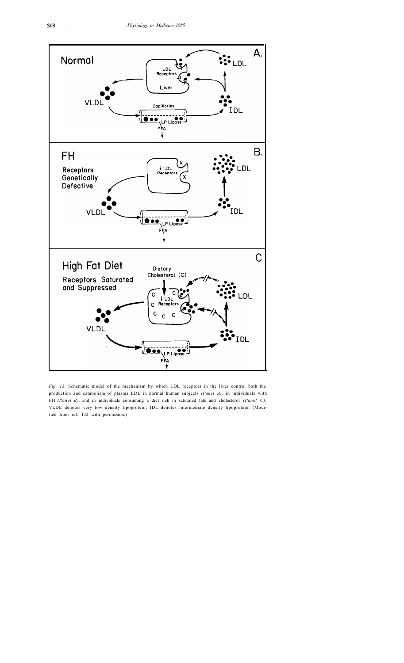

*Fig. 13.* Schematic model of the mechanism by which LDL receptors in the liver control both the production and catabolism of plasma LDL in normal human subjects *(Panel A),* in individuals with FH *(Panel B),* and in individuals consuming a diet rich in saturated fats and cholesterol *(Panel C).* VLDL denotes very low density lipoprotein; IDL denotes intermediate density lipoprotein. (Modified from ref. 132 with permission.)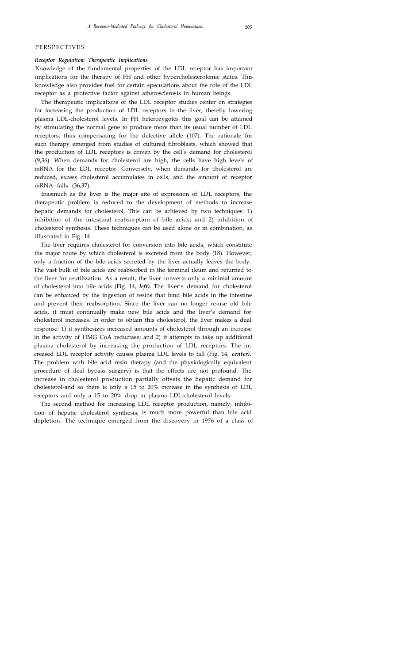### PERSPECTIVES

### *Receptor Regulation: Therapeutic Implications*

Knowledge of the fundamental properties of the LDL receptor has important implications for the therapy of FH and other hypercholesterolemic states. This knowledge also provides fuel for certain speculations about the role of the LDL receptor as a protective factor against atherosclerosis in human beings.

The therapeutic implications of the LDL receptor studies center on strategies for increasing the production of LDL receptors in the liver, thereby lowering plasma LDL-cholesterol levels. In FH heterozygotes this goal can be attained by stimulating the normal gene to produce more than its usual number of LDL receptors, thus compensating for the defective allele (107). The rationale for such therapy emerged from studies of cultured fibroblasts, which showed that the production of LDL receptors is driven by the cell's demand for cholesterol (9,36). When demands for cholesterol are high, the cells have high levels of mRNA for the LDL receptor. Conversely, when demands for cholesterol are reduced, excess cholesterol accumulates in cells, and the amount of receptor mRNA falls (36,37).

Inasmuch as the liver is the major site of expression of LDL receptors, the therapeutic problem is reduced to the development of methods to increase hepatic demands for cholesterol. This can be achieved by two techniques: 1) inhibition of the intestinal reabsorption of bile acids; and 2) inhibition of cholesterol synthesis. These techniques can be used alone or in combination, as illustrated in Fig. 14.

The liver requires cholesterol for conversion into bile acids, which constitute the major route by which cholesterol is excreted from the body (18). However, only a fraction of the bile acids secreted by the liver actually leaves the body. The vast bulk of bile acids are reabsorbed in the terminal ileum and returned to the liver for reutilization. As a result, the liver converts only a minimal amount of cholesterol into bile acids (Fig. 14, *left).* The liver's demand for cholesterol can be enhanced by the ingestion of resins that bind bile acids in the intestine and prevent their reabsorption. Since the liver can no longer re-use old bile acids, it must continually make new bile acids and the liver's demand for cholesterol increases. In order to obtain this cholesterol, the liver makes a dual response: 1) it synthesizes increased amounts of cholesterol through an increase in the activity of HMG CoA reductase; and 2) it attempts to take up additional plasma cholesterol by increasing the production of LDL receptors. The increased LDL receptor activity causes plasma LDL levels to fall (Fig. 14, *center).* The problem with bile acid resin therapy (and the physiologically equivalent procedure of ileal bypass surgery) is that the effects are not profound. The increase in cholesterol production partially offsets the hepatic demand for cholesterol-and so there is only a 15 to 20% increase in the synthesis of LDL receptors and only a 15 to 20% drop in plasma LDL-cholesterol levels.

The second method for increasing LDL receptor production, namely, inhibition of hepatic cholesterol synthesis, is much more powerful than bile acid depletion. The technique emerged from the discovery in 1976 of a class of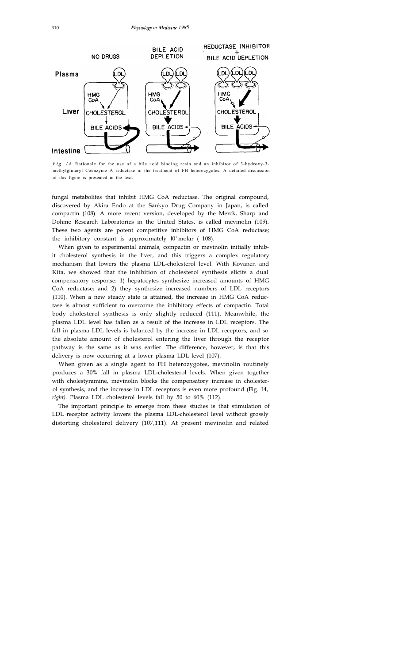

*Fig. 1 4 .* Rationale for the use of a bile acid binding resin and an inhibitor of 3-hydroxy-3 methylglutaryl Coenzyme A reductase in the treatment of FH heterozygotes. A detailed discussion of this figure is presented in the text.

fungal metabolites that inhibit HMG CoA reductase. The original compound, discovered by Akira Endo at the Sankyo Drug Company in Japan, is called compactin (108). A more recent version, developed by the Merck, Sharp and Dohme Research Laboratories in the United States, is called mevinolin (109). These two agents are potent competitive inhibitors of HMG CoA reductase; the inhibitory constant is approximately  $10^9$  molar ( 108).

When given to experimental animals, compactin or mevinolin initially inhibit cholesterol synthesis in the liver, and this triggers a complex regulatory mechanism that lowers the plasma LDL-cholesterol level. With Kovanen and Kita, we showed that the inhibition of cholesterol synthesis elicits a dual compensatory response: 1) hepatocytes synthesize increased amounts of HMG CoA reductase; and 2) they synthesize increased numbers of LDL receptors (110). When a new steady state is attained, the increase in HMG CoA reductase is almost sufficient to overcome the inhibitory effects of compactin. Total body cholesterol synthesis is only slightly reduced (111). Meanwhile, the plasma LDL level has fallen as a result of the increase in LDL receptors. The fall in plasma LDL levels is balanced by the increase in LDL receptors, and so the absolute amount of cholesterol entering the liver through the receptor pathway is the same as it was earlier. The difference, however, is that this delivery is now occurring at a lower plasma LDL level (107).

When given as a single agent to FH heterozygotes, mevinolin routinely produces a 30% fall in plasma LDL-cholesterol levels. When given together with cholestyramine, mevinolin blocks the compensatory increase in cholesterol synthesis, and the increase in LDL receptors is even more profound (Fig. 14, *right).* Plasma LDL cholesterol levels fall by 50 to 60% (112).

The important principle to emerge from these studies is that stimulation of LDL receptor activity lowers the plasma LDL-cholesterol level without grossly distorting cholesterol delivery (107,111). At present mevinolin and related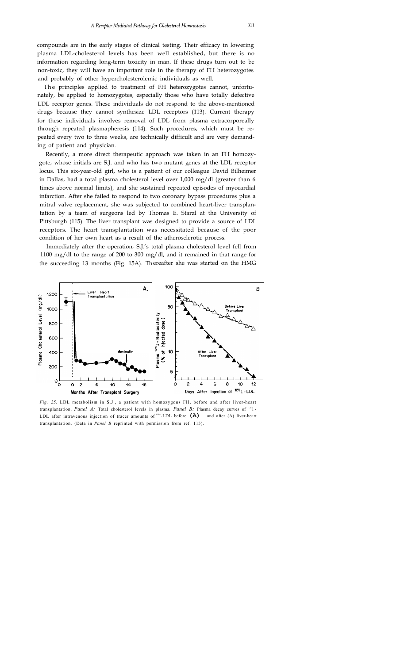compounds are in the early stages of clinical testing. Their efficacy in lowering plasma LDL-cholesterol levels has been well established, but there is no information regarding long-term toxicity in man. If these drugs turn out to be non-toxic, they will have an important role in the therapy of FH heterozygotes and probably of other hypercholesterolemic individuals as well.

The principles applied to treatment of FH heterozygotes cannot, unfortunately, be applied to homozygotes, especially those who have totally defective LDL receptor genes. These individuals do not respond to the above-mentioned drugs because they cannot synthesize LDL receptors (113). Current therapy for these individuals involves removal of LDL from plasma extracorporeally through repeated plasmapheresis (114). Such procedures, which must be repeated every two to three weeks, are technically difficult and are very demanding of patient and physician.

Recently, a more direct therapeutic approach was taken in an FH homozygote, whose initials are S.J. and who has two mutant genes at the LDL receptor locus. This six-year-old girl, who is a patient of our colleague David Bilheimer in Dallas, had a total plasma cholesterol level over 1,000 mg/dl (greater than 6 times above normal limits), and she sustained repeated episodes of myocardial infarction. After she failed to respond to two coronary bypass procedures plus a mitral valve replacement, she was subjected to combined heart-liver transplantation by a team of surgeons led by Thomas E. Starzl at the University of Pittsburgh (115). The liver transplant was designed to provide a source of LDL receptors. The heart transplantation was necessitated because of the poor condition of her own heart as a result of the atherosclerotic process.

Immediately after the operation, S.J.'s total plasma cholesterol level fell from 1100 mg/dl to the range of 200 to 300 mg/dl, and it remained in that range for the succeeding 13 months (Fig. 15A). Thereafter she was started on the HMG



*Fig. 25.* LDL metabolism in S.J., a patient with homozygous FH, before and after liver-heart transplantation. *Panel A:* Total cholesterol levels in plasma. *Panel B:* Plasma decay curves of 1251 - LDL after intravenous injection of tracer amounts of  $125$ I-LDL before  $(A)$  and after (A) liver-heart transplantation. (Data in *Panel B* reprinted with permission from ref. 115).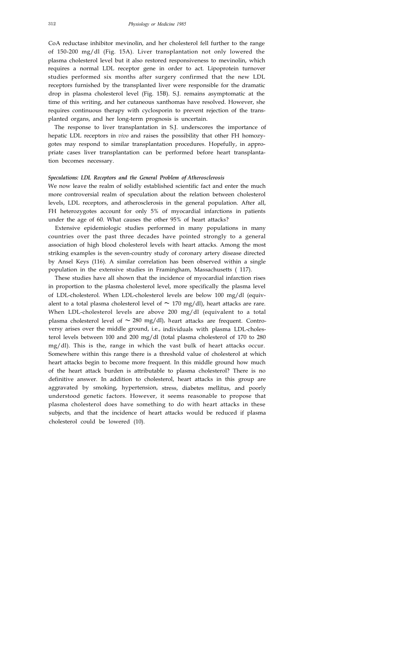CoA reductase inhibitor mevinolin, and her cholesterol fell further to the range of 150-200 mg/dl (Fig. 15A). Liver transplantation not only lowered the plasma cholesterol level but it also restored responsiveness to mevinolin, which requires a normal LDL receptor gene in order to act. Lipoprotein turnover studies performed six months after surgery confirmed that the new LDL receptors furnished by the transplanted liver were responsible for the dramatic drop in plasma cholesterol level (Fig. 15B). S.J. remains asymptomatic at the time of this writing, and her cutaneous xanthomas have resolved. However, she requires continuous therapy with cyclosporin to prevent rejection of the transplanted organs, and her long-term prognosis is uncertain.

The response to liver transplantation in S.J. underscores the importance of hepatic LDL receptors in *vivo* and raises the possibility that other FH homozygotes may respond to similar transplantation procedures. Hopefully, in appropriate cases liver transplantation can be performed before heart transplantation becomes necessary.

#### *Speculations: LDL Receptors and the General Problem of Atherosclerosis*

We now leave the realm of solidly established scientific fact and enter the much more controversial realm of speculation about the relation between cholesterol levels, LDL receptors, and atherosclerosis in the general population. After all, FH heterozygotes account for only 5% of myocardial infarctions in patients under the age of 60. What causes the other 95% of heart attacks?

Extensive epidemiologic studies performed in many populations in many countries over the past three decades have pointed strongly to a general association of high blood cholesterol levels with heart attacks. Among the most striking examples is the seven-country study of coronary artery disease directed by Ansel Keys (116). A similar correlation has been observed within a single population in the extensive studies in Framingham, Massachusetts ( 117).

These studies have all shown that the incidence of myocardial infarction rises in proportion to the plasma cholesterol level, more specifically the plasma level of LDL-cholesterol. When LDL-cholesterol levels are below 100 mg/dl (equivalent to a total plasma cholesterol level of  $\sim$  170 mg/dl), heart attacks are rare. When LDL-cholesterol levels are above 200 mg/dl (equivalent to a total plasma cholesterol level of  $\sim$  280 mg/dl), heart attacks are frequent. Controversy arises over the middle ground, i.e., individuals with plasma LDL-cholesterol levels between 100 and 200 mg/dl (total plasma cholesterol of 170 to 280 mg/dl). This is the, range in which the vast bulk of heart attacks occur. Somewhere within this range there is a threshold value of cholesterol at which heart attacks begin to become more frequent. In this middle ground how much of the heart attack burden is attributable to plasma cholesterol? There is no definitive answer. In addition to cholesterol, heart attacks in this group are aggravated by smoking, hypertension, stress, diabetes mellitus, and poorly understood genetic factors. However, it seems reasonable to propose that plasma cholesterol does have something to do with heart attacks in these subjects, and that the incidence of heart attacks would be reduced if plasma cholesterol could be lowered (10).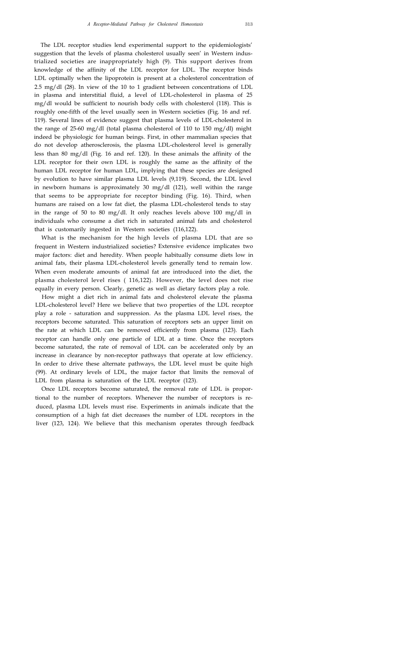The LDL receptor studies lend experimental support to the epidemiologists' suggestion that the levels of plasma cholesterol usually seen' in Western industrialized societies are inappropriately high (9). This support derives from knowledge of the affinity of the LDL receptor for LDL. The receptor binds LDL optimally when the lipoprotein is present at a cholesterol concentration of 2.5 mg/dl (28). In view of the 10 to 1 gradient between concentrations of LDL in plasma and interstitial fluid, a level of LDL-cholesterol in plasma of 25 mg/dl would be sufficient to nourish body cells with cholesterol (118). This is roughly one-fifth of the level usually seen in Western societies (Fig. 16 and ref. 119). Several lines of evidence suggest that plasma levels of LDL-cholesterol in the range of 25-60 mg/dl (total plasma cholesterol of 110 to 150 mg/dl) might indeed be physiologic for human beings. First, in other mammalian species that do not develop atherosclerosis, the plasma LDL-cholesterol level is generally less than 80 mg/dl (Fig. 16 and ref. 120). In these animals the affinity of the LDL receptor for their own LDL is roughly the same as the affinity of the human LDL receptor for human LDL, implying that these species are designed by evolution to have similar plasma LDL levels (9,119). Second, the LDL level in newborn humans is approximately 30 mg/dl  $(121)$ , well within the range that seems to be appropriate for receptor binding (Fig. 16). Third, when humans are raised on a low fat diet, the plasma LDL-cholesterol tends to stay in the range of 50 to 80 mg/dl. It only reaches levels above 100 mg/dl in individuals who consume a diet rich in saturated animal fats and cholesterol that is customarily ingested in Western societies (116,122).

What is the mechanism for the high levels of plasma LDL that are so frequent in Western industrialized societies? Extensive evidence implicates two major factors: diet and heredity. When people habitually consume diets low in animal fats, their plasma LDL-cholesterol levels generally tend to remain low. When even moderate amounts of animal fat are introduced into the diet, the plasma cholesterol level rises ( 116,122). However, the level does not rise equally in every person. Clearly, genetic as well as dietary factors play a role.

How might a diet rich in animal fats and cholesterol elevate the plasma LDL-cholesterol level? Here we believe that two properties of the LDL receptor play a role - saturation and suppression. As the plasma LDL level rises, the receptors become saturated. This saturation of receptors sets an upper limit on the rate at which LDL can be removed efficiently from plasma (123). Each receptor can handle only one particle of LDL at a time. Once the receptors become saturated, the rate of removal of LDL can be accelerated only by an increase in clearance by non-receptor pathways that operate at low efficiency. In order to drive these alternate pathways, the LDL level must be quite high (99). At ordinary levels of LDL, the major factor that limits the removal of LDL from plasma is saturation of the LDL receptor (123).

Once LDL receptors become saturated, the removal rate of LDL is proportional to the number of receptors. Whenever the number of receptors is reduced, plasma LDL levels must rise. Experiments in animals indicate that the consumption of a high fat diet decreases the number of LDL receptors in the liver (123, 124). We believe that this mechanism operates through feedback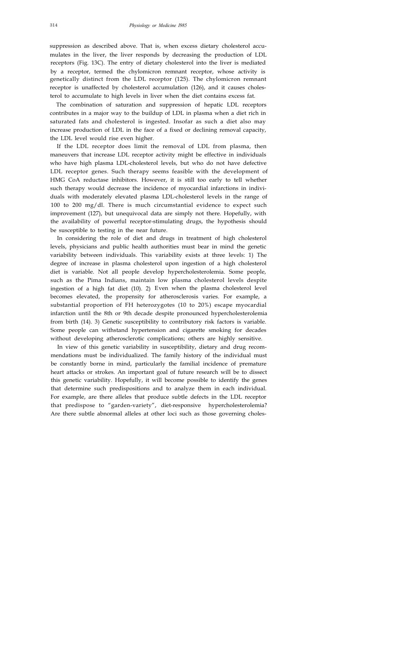suppression as described above. That is, when excess dietary cholesterol accumulates in the liver, the liver responds by decreasing the production of LDL receptors (Fig. 13C). The entry of dietary cholesterol into the liver is mediated by a receptor, termed the chylomicron remnant receptor, whose activity is genetically distinct from the LDL receptor (125). The chylomicron remnant receptor is unaffected by cholesterol accumulation (126), and it causes cholesterol to accumulate to high levels in liver when the diet contains excess fat.

The combination of saturation and suppression of hepatic LDL receptors contributes in a major way to the buildup of LDL in plasma when a diet rich in saturated fats and cholesterol is ingested. Insofar as such a diet also may increase production of LDL in the face of a fixed or declining removal capacity, the LDL level would rise even higher.

If the LDL receptor does limit the removal of LDL from plasma, then maneuvers that increase LDL receptor activity might be effective in individuals who have high plasma LDL-cholesterol levels, but who do not have defective LDL receptor genes. Such therapy seems feasible with the development of HMG CoA reductase inhibitors. However, it is still too early to tell whether such therapy would decrease the incidence of myocardial infarctions in individuals with moderately elevated plasma LDL-cholesterol levels in the range of 100 to 200 mg/dl. There is much circumstantial evidence to expect such improvement (127), but unequivocal data are simply not there. Hopefully, with the availability of powerful receptor-stimulating drugs, the hypothesis should be susceptible to testing in the near future.

In considering the role of diet and drugs in treatment of high cholesterol levels, physicians and public health authorities must bear in mind the genetic variability between individuals. This variability exists at three levels: 1) The degree of increase in plasma cholesterol upon ingestion of a high cholesterol diet is variable. Not all people develop hypercholesterolemia. Some people, such as the Pima Indians, maintain low plasma cholesterol levels despite ingestion of a high fat diet (10). 2) Even when the plasma cholesterol level becomes elevated, the propensity for atherosclerosis varies. For example, a substantial proportion of FH heterozygotes (10 to 20%) escape myocardial infarction until the 8th or 9th decade despite pronounced hypercholesterolemia from birth (14). 3) Genetic susceptibility to contributory risk factors is variable. Some people can withstand hypertension and cigarette smoking for decades without developing atherosclerotic complications; others are highly sensitive.

In view of this genetic variability in susceptibility, dietary and drug recommendations must be individualized. The family history of the individual must be constantly borne in mind, particularly the familial incidence of premature heart attacks or strokes. An important goal of future research will be to dissect this genetic variability. Hopefully, it will become possible to identify the genes that determine such predispositions and to analyze them in each individual. For example, are there alleles that produce subtle defects in the LDL receptor that predispose to "garden-variety", diet-responsive hypercholesterolemia? Are there subtle abnormal alleles at other loci such as those governing choles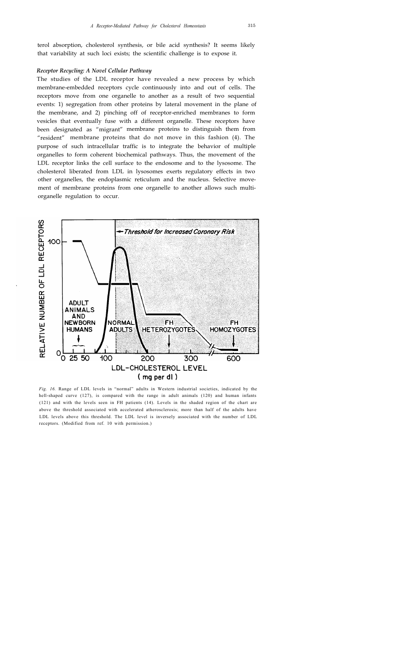terol absorption, cholesterol synthesis, or bile acid synthesis? It seems likely that variability at such loci exists; the scientific challenge is to expose it.

### *Receptor Recycling: A Novel Cellular Pathway*

The studies of the LDL receptor have revealed a new process by which membrane-embedded receptors cycle continuously into and out of cells. The receptors move from one organelle to another as a result of two sequential events: 1) segregation from other proteins by lateral movement in the plane of the membrane, and 2) pinching off of receptor-enriched membranes to form vesicles that eventually fuse with a different organelle. These receptors have been designated as "migrant" membrane proteins to distinguish them from "resident" membrane proteins that do not move in this fashion (4). The purpose of such intracellular traffic is to integrate the behavior of multiple organelles to form coherent biochemical pathways. Thus, the movement of the LDL receptor links the cell surface to the endosome and to the lysosome. The cholesterol liberated from LDL in lysosomes exerts regulatory effects in two other organelles, the endoplasmic reticulum and the nucleus. Selective movement of membrane proteins from one organelle to another allows such multiorganelle regulation to occur.



*Fig. 16.* Range of LDL levels in "normal" adults in Western industrial societies, indicated by the hell-shaped curve (127), is compared with the range in adult animals (120) and human infants (121) and with the levels seen in FH patients (14). Levels in the shaded region of the chart are above the threshold associated with accelerated atherosclerosis; more than half of the adults have LDL levels above this threshold. The LDL level is inversely associated with the number of LDL receptors. (Modified from ref. 10 with permission.)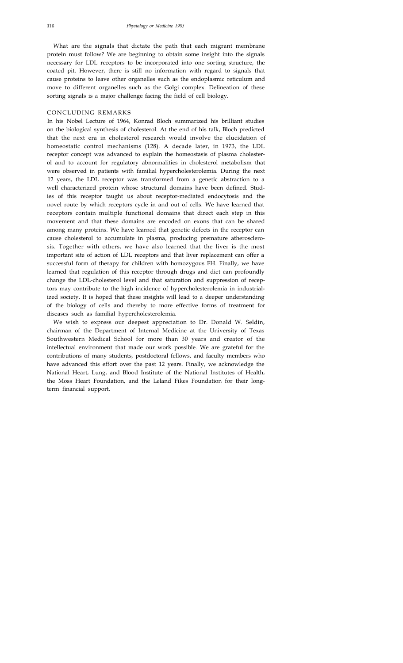What are the signals that dictate the path that each migrant membrane protein must follow? We are beginning to obtain some insight into the signals necessary for LDL receptors to be incorporated into one sorting structure, the coated pit. However, there is still no information with regard to signals that cause proteins to leave other organelles such as the endoplasmic reticulum and move to different organelles such as the Golgi complex. Delineation of these sorting signals is a major challenge facing the field of cell biology.

### CONCLUDING REMARKS

In his Nobel Lecture of 1964, Konrad Bloch summarized his brilliant studies on the biological synthesis of cholesterol. At the end of his talk, Bloch predicted that the next era in cholesterol research would involve the elucidation of homeostatic control mechanisms (128). A decade later, in 1973, the LDL receptor concept was advanced to explain the homeostasis of plasma cholesterol and to account for regulatory abnormalities in cholesterol metabolism that were observed in patients with familial hypercholesterolemia. During the next 12 years, the LDL receptor was transformed from a genetic abstraction to a well characterized protein whose structural domains have been defined. Studies of this receptor taught us about receptor-mediated endocytosis and the novel route by which receptors cycle in and out of cells. We have learned that receptors contain multiple functional domains that direct each step in this movement and that these domains are encoded on exons that can be shared among many proteins. We have learned that genetic defects in the receptor can cause cholesterol to accumulate in plasma, producing premature atherosclerosis. Together with others, we have also learned that the liver is the most important site of action of LDL receptors and that liver replacement can offer a successful form of therapy for children with homozygous FH. Finally, we have learned that regulation of this receptor through drugs and diet can profoundly change the LDL-cholesterol level and that saturation and suppression of receptors may contribute to the high incidence of hypercholesterolemia in industrialized society. It is hoped that these insights will lead to a deeper understanding of the biology of cells and thereby to more effective forms of treatment for diseases such as familial hypercholesterolemia.

We wish to express our deepest appreciation to Dr. Donald W. Seldin, chairman of the Department of Internal Medicine at the University of Texas Southwestern Medical School for more than 30 years and creator of the intellectual environment that made our work possible. We are grateful for the contributions of many students, postdoctoral fellows, and faculty members who have advanced this effort over the past 12 years. Finally, we acknowledge the National Heart, Lung, and Blood Institute of the National Institutes of Health, the Moss Heart Foundation, and the Leland Fikes Foundation for their longterm financial support.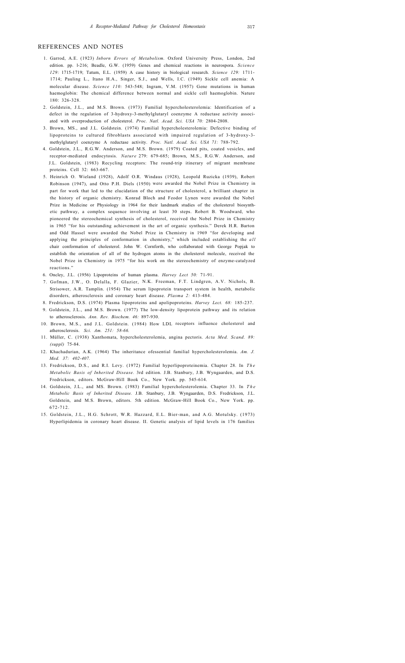#### REFERENCES AND NOTES

- 1. Garrod, A.E. (1923) *Inborn Errors of Metabolism.* Oxford University Press, London, 2nd edition. pp. l-216; Beadle, G.W. (1959) Genes and chemical reactions in neurospora. *Science 129:* 1715-1719; Tatum, E.L. (1959) A case history in biological research. *Science 129:* 1711- 1714; Pauling L., Itano H.A., Singer, S.J., and Wells, I.C. (1949) Sickle cell anemia: A molecular disease. *Science 110:* 543-548; Ingram, V.M. (1957) Gene mutations in human haemoglobin: The chemical difference between normal and sickle cell haemoglobin. Nature 180: 326-328.
- 2. Goldstein, J.L., and M.S. Brown. (1973) Familial hypercholesterolemia: Identification of a defect in the regulation of 3-hydroxy-3-methylglutaryl coenzyme A reductase activity associated with overproduction of cholesterol. *Proc. Natl. Acad. Sci. USA 70:* 2804-2808.
- 3. Brown, MS., and J.L. Goldstein. (1974) Familial hypercholesterolemia: Defective binding of lipoproteins to cultured fibroblasts associated with impaired regulation of 3-hydroxy-3 methylglutaryl coenzyme A reductase activity. *Proc. Natl. Acad. Sci. USA 71:* 788-792.
- 4. Goldstein, J.L., R.G.W. Anderson, and M.S. Brown. (1979) Coated pits, coated vesicles, and receptor-mediated endocytosis. *Nature* 279: 679-685; Brown, M.S., R.G.W. Anderson, and J.L. Goldstein, (1983) Recycling receptors: The round-trip itinerary of migrant membrane proteins. Cell 32: 663-667.
- 5. Heinrich O. Wieland (1928), Adolf O.R. Windaus (1928), Leopold Ruzicka (1939), Robert Robinson (1947), and Otto P.H. Diels (1950) were awarded the Nobel Prize in Chemistry in part for work that led to the elucidation of the structure of cholesterol, a brilliant chapter in the history of organic chemistry. Konrad Bloch and Feodor Lynen were awarded the Nobel Prize in Medicine or Physiology in 1964 for their landmark studies of the cholesterol biosynthetic pathway, a complex sequence involving at least 30 steps. Robert B. Woodward, who pioneered the stereochemical synthesis of cholesterol, received the Nobel Prize in Chemistry in 1965 "for his outstanding achievement in the art of organic synthesis." Derek H.R. Barton and Odd Hassel were awarded the Nobel Prize in Chemistry in 1969 "for developing and applying the principles of conformation in chemistry," which included establishing the all chair conformation of cholesterol. John W. Cornforth, who collaborated with George Popjak to establish the orientation of all of the hydrogen atoms in the cholesterol molecule, received the Nobel Prize in Chemistry in 1975 "for his work on the stereochemistry of enzyme-catalyzed reactions."
- 6. Oncley, J.L. (1956) Lipoproteins of human plasma. *Harvey Lect 50:* 71-91.
- 7. Gofman, J.W., O. Delalla, F. Glazier, N.K. Freeman, F.T. Lindgren, A.V. Nichols, B. Strisower, A.R. Tamplin. (1954) The serum lipoprotein transport system in health, metabolic disorders, atherosclerosis and coronary heart disease. *Plasma 2:* 413-484.
- 8. Fredrickson, D.S. (1974) Plasma lipoproteins and apolipoproteins. *Harvey Lect. 68:* 185-237.
- 9. Goldstein, J.L., and M.S. Brown. (1977) The low-density lipoprotein pathway and its relation to atherosclerosis. *Ann. Rev. Biochem. 46:* 897-930.
- 10. Brown, M.S., and J.L. Goldstein. (1984) How LDL receptors influence cholesterol and atherosclerosis. *Sci. Am. 251: 58-66.*
- 11. Müller, C. (1938) Xanthomata, hypercholesterolemia, angina pectoris. *Acta Med. Scand. 89: (suppl)* 75-84.
- 12. Khachadurian, A.K. (1964) The inheritance ofessential familial hypercholesterolemia. *Am. J. Med. 37: 402-407.*
- 13. Fredrickson, D.S., and R.I. Levy. (1972) Familial hyperlipoproteinemia. Chapter 28. In *T h e Metabolic Basis of Inherited Disease.* 3rd edition. J.B. Stanbury, J.B. Wyngaarden, and D.S. Fredrickson, editors. McGraw-Hill Book Co., New York. pp. 545-614.
- 14. Goldstein, J.L., and MS. Brown. (1983) Familial hypercholesterolemia. Chapter 33. In *T h e Metabolic Basis of Inherited Disease.* J.B. Stanbury, J.B. Wyngaarden, D.S. Fredrickson, J.L. Goldstein, and M.S. Brown, editors. 5th edition. McGraw-Hill Book Co., New York. pp. 672-712.
- 15. Goldstein, J.L., H.G. Schrott, W.R. Hazzard, E.L. Bier-man, and A.G. Motulsky. (1973) Hyperlipidemia in coronary heart disease. II. Genetic analysis of lipid levels in 176 families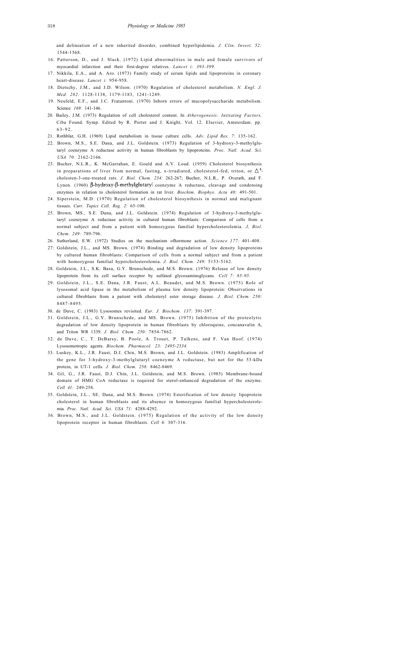and delineation of a new inherited disorder, combined hyperlipidemia. *J. Clin. Invest. 52:* 1544-1568.

- 16. Patterson, D., and J. Slack. (1972) Lipid abnormalities in male and female survivors of myocardial infarction and their first-degree relatives. *Lancet i: 393-399.*
- 17. Nikkila, E.A., and A. Aro. (1973) Family study of serum lipids and lipoproteins in coronary heart-disease. *Lancet i:* 954-958.
- 18. Dietschy, J.M., and J.D. Wilson. (1970) Regulation of cholesterol metabolism. *N. Engl. J. Med. 282:* 1128-1138, 1179-1183, 1241-1249.
- 19. Neufeld, E.F., and J.C. Fratantoni. (1970) Inborn errors of mucopolysaccharide metabolism. Science *169:* 141-146.
- 20. Bailey, J.M. (1973) Regulation of cell cholesterol content. In *Atherogenesis: Initiating Factors,* Ciba Found. Symp. Edited by R. Porter and J. Knight, Vol. 12. Elsevier, Amsterdam. pp.  $63 - 92.$
- 21. Rothblat, G.H. (1969) Lipid metabolism in tissue culture cells. *Adv. Lipid Res. 7:* 135-162.
- 22. Brown, M.S., S.E. Dana, and J.L. Goldstein. (1973) Regulation of 3-hydroxy-3-methylglutaryl coenzyme A reductase activity in human fibroblasts by lipoproteins. *Proc. Natl. Acad. Sci. USA 70:* 2162-2166.
- 23. Bucher, N.L.R., K. McGarrahan, E. Gould and A.V. Loud. (1959) Cholesterol biosynthesis in preparations of liver from normal, fasting, x-irradiated, cholesterol-fed, triton, or  $\Delta^4$ cholesten-3-one-treated rats. *J. Biol. Chem. 234:* 262-267; Bucher, N.L.R., P. Overath, and F. Lynen. (1960)  $\beta$ -hydroxy- $\beta$ -methylglutaryl coenzyme A reductase, cleavage and condensing enzymes in relation to cholesterol formation in rat liver. *Biochim. Biophys. Acta 40:* 491-501.
- 24. Siperstein, M.D. (1970) Regulation of cholesterol biosynthesis in normal and malignant tissues. *Curr. Topics Cell. Reg. 2:* 65-100.
- 25. Brown, MS., S.E. Dana, and J.L. Goldstein. (1974) Regulation of 3-hydroxy-3-methylglutaryl coenzyme A reductase activity in cultured human fibroblasts: Comparison of cells from a normal subject and from a patient with homozygous familial hypercholesterolemia. *J, Biol. Chem. 249:* 789-796.
- 26. Sutherland, E.W. (1972) Studies on the mechanism ofhormone action. *Science 177:* 401-408.
- 27: Goldstein, J.L., and MS. Brown. (1974) Binding and degradation of low density lipoproteins by cultured human fibroblasts: Comparison of cells from a normal subject and from a patient with homozygous familial hypercholesterolemia. *J. Biol. Chem. 249:* 5153-5162.
- 28. Goldstein, J.L., S.K. Basu, G.Y. Brunschede, and M.S. Brown. (1976) Release of low density lipoprotein from its cell surface receptor by sulfated glycosaminoglycans. *Cell 7: 85-95.*
- 29. Goldstein, J.L., S.E. Dana, J.R. Faust, A.L. Beaudet, and M.S. Brown. (1975) Role of lysosomal acid lipase in the metabolism of plasma low density lipoprotein: Observations in cultured fibroblasts from a patient with cholesteryl ester storage disease. *J. Biol. Chem. 250:* 8487-8495.
- 30. de Duve, C. (1983) Lysosomes revisited. *Eur. J. Biochem. 137:* 391-397.
- 31. Goldstein, J.L., G.Y. Brunschede, and MS. Brown. (1975) Inhibition of the proteolytic degradation of low density lipoprotein in human fibroblasts by chloroquine, concanavalin A, and Triton WR 1339. *J. Biol. Chem. 250:* 7854-7862.
- 32. de Duve, C., T. DeBarsy, B. Poole, A. Trouet, P. Tulkens, and F. Van Hoof. (1974) Lysosomotropic agents. *Biochem. Pharmacol. 23: 2495-2534.*
- 33. Luskey, K.L., J.R. Faust, D.J. Chin, M.S. Brown, and J.L. Goldstein. (1983) Amplification of the gene for 3-hydroxy-3-methylglutaryl coenzyme A rcductase, but not for the 53-kDa protein, in UT-1 cells. *J. Biol. Chem. 258:* 8462-8469.
- 34. Gil, G., J.R. Faust, D.J. Chin, J.L. Goldstein, and M.S. Brown. (1985) Membrane-bound domain of HMG CoA reductase is required for sterol-enhanced degradation of the enzyme. *Cell 41:* 249-258.
- 35. Goldstein, J.L., SE. Dana, and M.S. Brown. (1974) Esterification of low density lipoprotein cholesterol in human fibroblasts and its absence in homozygous familial hypercholesterolemia. *Proc. Natl. Acad. Sci. USA 71:* 4288-4292.
- 36. Brown, M.S., and J.L. Goldstein. (1975) Regulation of the activity of the low density lipoprotein receptor in human fibroblasts. *Cell 6:* 307-316.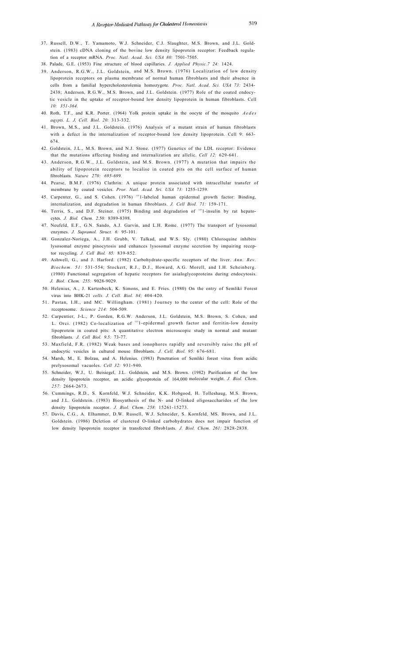- 37. Russell, D.W., T. Yamamoto, W.J. Schneider, C.J. Slaughter, M.S. Brown, and J.L. Goldstein. (1983) cDNA cloning of the bovine low density lipoprotein receptor: Feedback regulation of a receptor mRNA. *Proc. Natl. Acad. Sci. USA 80:* 7501-7505.
- 38. Palade, G.E. (1953) Fine structure of blood capillaries. *J. Applied Physic.7 24:* 1424.
- 39. Anderson, R.G.W., J.L. Goldstein, and M.S. Brown. (1976) Localization of low density lipoprotein receptors on plasma membrane of normal human fibroblasts and their absence in cells from a familial hypercholesterolemia homozygote. *Proc. Natl. Acad. Sci. USA 73:* 2434- 2438; Anderson, R.G.W., M.S. Brown, and J.L. Goldstein. (1977) Role of the coated endocytic vesicle in the uptake of receptor-bound low density lipoprotein in human fibroblasts. Cell *10: 351-364.*
- 40. Roth, T.F., and K.R. Porter. (1964) Yolk protein uptake in the oocyte of the mosquito *Aedes aqypti. L. J, Cell. Biol. 20:* 313-332.
- 41. Brown, M.S., and J.L. Goldstein. (1976) Analysis of a mutant strain of human fibroblasts with a defect in the internalization of receptor-bound low density lipoprotein. Cell 9: 663- 674.
- 42. Goldstein, J.L., M.S. Brown, and N.J. Stone. (1977) Genetics of the LDL receptor: Evidence that the mutations affecting binding and internalization are allelic. *Cell 12:* 629-641.
- 43. Anderson, R.G.W., J.L. Goldstein, and M.S. Brown. (1977) A mutation that impairs the ability of lipoprotein receptors to localise in coated pits on the cell surface of human fibroblasts. *Nature 270: 695-699.*
- 44. Pearse, B.M.F. (1976) Clathrin: A unique protein associated with intracellular transfer of membrane by coated vesicles. *Pror. Natl. Acad. Sri. USA 73:* 1255-1259.
- 45. Carpenter, G., and S. Cohen. (1976)<sup>125</sup>1-labeled human epidermal growth factor: Binding, internalization, and degradation in human fibroblasts. *J. Cell BioI. 71:* 159-171.
- 46. Terris, S., and D.F. Steiner. (1975) Binding and degradation of <sup>125</sup>1-insulin by rat hepatocytes. *J. Biol. Chem. 2.50:* 8389-8398.
- 47. Neufeld, E.F., G.N. Sando, A.J. Garvin, and L.H. Rome. (1977) The transport of lysosomal enzymes. *J. Supramol. Struct. 6:* 95-101.
- 48. Gonzalez-Noriega, A., J.H. Grubb, V. Talkad, and W.S. Sly. (1980) Chloroquine inhibits lysosomal enzyme pinocytosis and enhances lysosomal enzyme secretion by impairing receptor recycling. *J. Cell Biol. 85:* 839-852.
- 49. Ashwell, G., and J. Harford. (1982) Carbohydrate-specific receptors of the liver. *Ann. Rev. Biochem. 51:* 531-554; Stockert, R.J., D.J., Howard, A.G. Morell, and I.H. Scheinberg. (1980) Functional segregation of hepatic receptors for asialoglycoproteins during endocytosis. *J. Biol. Chem. 255:* 9028-9029.
- 50. Helenius, A., J. Kartenbeck, K. Simons, and E. Fries. (1980) On the entry of Semliki Forest virus into BHK-21 *cells. J. Cell. Biol. 84;* 404-420.
- 51. Pastan, I.H., and MC. Willingham. (1981) J ourney to the center of the cell: Role of the rcceptosome. *Science 214:* 504-509.
- 52. Carpentier, J-L., P. Gorden, R.G.W. Anderson, J.L. Goldstein, M.S. Brown, S. Cohen, and L. Orci. (1982) Co-localization of <sup>125</sup>1-epidermal growth factor and ferritin-low density lipoprotein in coated pits: A quantitative electron microscopic study in normal and mutant fibroblasts. *J. Cell Biol. 9.5:* 73-77.
- 53. Maxfield, F.R. (1982) Weak bases and ionophores rapidly and reversibly raise the pH of endocytic vesicles in cultured mouse fibroblasts. *J. Cell. Biol. 95:* 676-681.
- 54. Marsh, M., E. Bolzau, and A. Helenius. (1983) Penetration of Semliki forest virus from acidic prelysosomal vacuoles. *Cell 32:* 931-940.
- 55. Schneider, W.J., U. Beisiegel, J.L. Goldstein, and M.S. Brown. (1982) Purification of the low density lipoprotein receptor, an acidic glycoprotein of 164,000 molecular weight. *J. Biol. Chem. 257:* 2664-2673.
- 56. Cummings, R.D., S. Kornfeld, W.J. Schneider, K.K. Hobgood, H. Tolleshaug, M.S. Brown, and J.L. Goldstein. (1983) Biosynthesis of the N- and O-linked oligosaccharides of the low density lipoprotein receptor. *J. Biol. Chem. 258:* 15261-15273.
- 57. Davis, C.G., A. Elhammer, D.W. Russell, W.J. Schneider, S. Kornfeld, MS. Brown, and J.L. Goldstein. (1986) Deletion of clustered O-linked carbohydrates does not impair function of low density lipoprotein receptor in transfected fibrob1asts. *J. Biol. Chem. 261:* 2828-2838.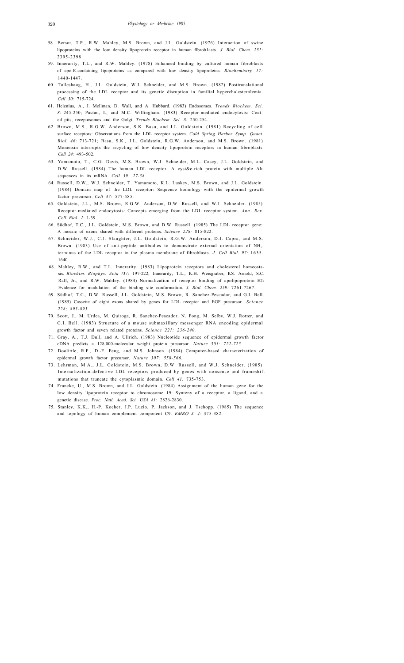- 58. Bersot, T.P., R.W. Mahley, M.S. Brown, and J.L. Goldstein. (1976) Interaction of swine lipoproteins with the low density lipoprotein receptor in human fibrob1asts. *J. Biol. Chem. 251:* 2395-2398.
- 59. Innerarity, T.L., and R.W. Mahley. (1978) Enhanced binding by cultured human fibroblasts of apo-E-containing lipoproteins as compared with low density lipoproteins. *Biochemistry 17:* 1440-1447.
- 60. Tolleshaug, H., J.L. Goldstein, W.J. Schneider, and M.S. Brown. (1982) Posttranslational processing of the LDL receptor and its genetic disruption in familial hypercholesterolemia. *Cell 30:* 715-724.
- 61. Helenius, A., I. Mellman, D. Wall, and A. Hubbard. (1983) Endosomes. *Trends Biochem. Sci. 8:* 245-250; Pastan, I., and M.C. Willingham. (1983) Receptor-mediated endocytosis: Coated pits, receptosomes and the Golgi. *Trends Biochem. Sci. 8:* 250-254.
- 62. Brown, M.S., R.G.W. Anderson, S.K. Basu, and J.L. Goldstein. (1981) Recycling of cell surface receptors: Observations from the LDL receptor system. *Cold Spring Harbor Symp. Quant. Biol. 46:* 713-721; Basu, S.K., J.L. Goldstein, R.G.W. Anderson, and M.S. Brown. (1981) Monensin interrupts the recycling of low density lipoprotein receptors in human fibroblasts. *Cell 24:* 493-502.
- 63. Yamamoto, T., C.G. Davis, M.S. Brown, W.J. Schneider, M.L. Casey, J.L. Goldstein, and D.W. Russell. (1984) The human LDL receptor: A cyst&e-rich protein with multiple Alu sequences in its mRNA. *Cell 39: 27-38.*
- 64. Russell, D.W., W.J. Schneider, T. Yamamoto, K.L. Luskey, M.S. Brown, and J.L. Goldstein. (1984) Domain map of the LDL receptor: Sequence homology with the epidermal growth factor precursor. *Cell 37:* 577-585.
- 65. Goldstein, J.L., M.S. Brown, R.G.W. Anderson, D.W. Russell, and W.J. Schneider. (1985) Receptor-mediated endocytosis: Concepts emerging from the LDL receptor system. *Ann. Rev. Cell Biol. I:* l-39.
- 66. Südhof, T.C., J.L. Goldstein, M.S. Brown, and D.W. Russell. (1985) The LDL receptor gene: A mosaic of exons shared with different proteins. *Science 228:* 815-822.
- 67. Schneider, W.J., C.J. Slaughter, J.L. Goldstein, R.G.W. Anderson, D.J. Capra, and M.S. Brown. (1983) Use of anti-peptide antibodies to demonstrate external orientation of  $NH_2$ terminus of the LDL receptor in the plasma membrane of fibroblasts. *J. Cell Biol. 97:* 1635- 1640.
- 68. Mahley, R.W., and T.L. Innerarity. (1983) Lipoprotein receptors and cholesterol homeostasis. *Biochim. Biophys. Acta* 737: 197-222; Innerarity, T.L., K.H. Weisgraber, KS. Arnold, S.C. Rall, Jr., and R.W. Mahley. (1984) Normalization of receptor binding of apolipoprotein E2: Evidence for modulation of the binding site conformation. *J. Biol. Chem. 259:* 7261-7267.
- 69. Südhof, T.C., D.W. Russell, J.L. Goldstein, M.S. Brown, R. Sanchez-Pescador, and G.I. Bell. (1985) Cassette of eight exons shared by genes for LDL receptor and EGF precursor. *Science 228; 893-895.*
- 70. Scott, J., M. Urdea, M. Quiroga, R. Sanchez-Pescador, N. Fong, M. Selby, W.J. Rotter, and G.I. Bell. (1983) Structure of a mouse submaxillary messenger RNA encoding epidermal growth factor and seven related proteins. *Science 221: 236-240.*
- 71. Gray, A., T.J. Dull, and A. Ullrich. (1983) Nucleotide sequence of epidermal growth factor cDNA predicts a 128,000-molecular weight protein precursor. *Nature 303: 722-725.*
- 72. Doolittle, R.F., D.-F. Feng, and M.S. Johnson. (1984) Computer-based characterization of epidermal growth factor precursor. *Nature 307: 558-566.*
- 73. Lehrman, M.A., J.L. Goldstein, M.S. Brown, D.W. Russell, and W.J. Schneider. (1985) Internalization-defective LDL receptors produced by genes with nonsense and frameshift mutations that truncate the cytoplasmic domain. *Cell 41:* 735-753.
- 74. Francke, U., M.S. Brown, and J.L. Goldstein. (1984) Assignment of the human gene for the low density lipoprotein receptor to chromosome 19: Synteny of a receptor, a ligand, and a genetic disease. *Proc. Natl. Acad. Sci. USA 81:* 2826-2830.
- 75. Stanley, K.K., H.-P. Kocher, J.P. Luzio, P. Jackson, and J. Tschopp. (1985) The sequence and topology of human complement component C9. *EMBO J. 4:* 375-382.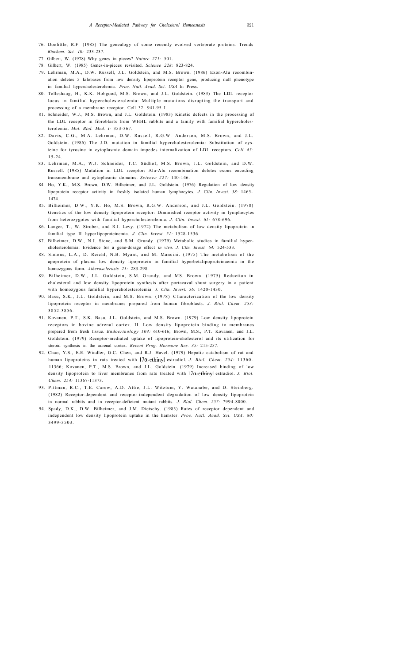- 76. Doolittle, R.F. (1985) The genealogy of some recently evolved vertebrate proteins. Trends *Biochem. Sci. 10:* 233-237.
- 77. Gilbert, W. (1978) Why genes in pieces? *Nature 271:* 501.
- 78. Gilbert, W. (1985) Genes-in-pieces revisited. *Science 228:* 823-824.
- 79. Lehrman, M.A., D.W. Russell, J.L. Goldstein, and M.S. Brown. (1986) Exon-Alu recombination deletes 5 kilobases from low density lipoprotein receptor gene, producing null phenotype in familial hypercholesterolemia. *Proc. Natl. Acad. Sci. USA* In Press.
- 80. Tolleshaug, H., K.K. Hobgood, M.S. Brown, and J.L. Goldstein. (1983) The LDL receptor locus in familial hypercholesterolemia: Multiple mutations disrupting the transport and processing of a membrane receptor. Cell 32: 941-95 I.
- 81. Schneider, W.J., M.S. Brown, and J.L. Goldstein. (1983) Kinetic defects in the processing of the LDL receptor in fibroblasts from WHHL rabbits and a family with familial hypercholesterolemia. *Mol. Biol. Med. I:* 353-367.
- 82. Davis, C.G., M.A. Lehrman, D.W. Russell, R.G.W. Anderson, M.S. Brown, and J.L. Goldstein. (1986) The J.D. mutation in familial hypercholesterolemia: Substitution of cysteine for tyrosine in cytoplasmic domain impedes internalization of LDL receptors. *Cell 45:* 15-24.
- 83. Lehrman, M.A., W.J. Schneider, T.C. Südhof, M.S. Brown, J.L. Goldstein, and D.W. Russell. (1985) Mutation in LDL receptor: Alu-Alu recombination deletes exons encoding transmembrane and cytoplasmic domains. *Science 227:* 140-146.
- 84. Ho, Y.K., M.S. Brown, D.W. Bilheimer, and J.L. Goldstein. (1976) Regulation of low density lipoprotein receptor activity in freshly isolated human lymphocytes. *J. Clin. Invest. 58:* 1465- 1474.
- 85. Bilheimer, D.W., Y.K. Ho, M.S. Brown, R.G.W. Anderson, and J.L. Goldstein. (1978) Genetics of the low density lipoprotein receptor: Diminished receptor activity in lymphocytes from heterozygotes with familial hypercholesterolemia. *J. Clin. Invest. 61:* 678-696.
- 86. Langer, T., W. Strober, and R.I. Levy. (1972) The metabolism of low density lipoprotein in familial type II hyper1ipoproteinemia. *J. Clin. Invest. 51:* 1528-1536.
- 87. Bilheimer, D.W., N.J. Stone, and S.M. Grundy. (1979) Metabolic studies in familial hypercholesterolemia: Evidence for a gene-dosage effect *in vivo. J. Clin. Invest. 64:* 524-533.
- 88. Simons, L.A., D. Reichl, N.B. Myant, and M. Mancini. (1975) The metabolism of the apoprotein of plasma low density lipoprotein in familial hyperbetalipoproteinaemia in the homozygous form. *Atherosclerosis 21:* 283-298.
- 89. Bilheimer, D.W., J.L. Goldstein, S.M. Grundy, and MS. Brown. (1975) Reduction in cholesterol and low density lipoprotein synthesis after portacaval shunt surgery in a patient with homozygous familial hypercholesterolemia. *J. Clin. Invest. 56:* 1420-1430.
- 90. Basu, S.K., J.L. Goldstein, and M.S. Brown. (1978) C haracterization of the low density lipoprotein receptor in membranes prepared from human fibroblasts. *J. Biol. Chem. 253:* 3852-3856.
- 91. Kovanen, P.T., S.K. Basu, J.L. Goldstein, and M.S. Brown. (1979) Low density lipoprotein receptors in bovine adrenal cortex. II. Low density lipoprotein binding to membranes prepared from fresh tissue. *Endocrinology 104:* 610-616; Brown, M.S., P.T. Kovanen, and J.L. Goldstein. (1979) Receptor-mediated uptake of lipoprotein-cholesterol and its utilization for steroid synthesis in the adrenal cortex. *Recent Prog. Hormone Res. 35:* 215-257.
- 92. Chao, Y.S., E.E. Windler, G.C. Chen, and R.J. Havel. (1979) Hepatic catabolism of rat and human lipoproteins in rats treated with  $17\alpha$ -ethinyl estradiol. *J. Biol. Chem. 254:* 11360-11366; Kovanen, P.T., M.S. Brown, and J.L. Goldstein. (1979) Increased binding of low density lipoprotein to liver membranes from rats treated with  $17\alpha$ -ethinyl estradiol. *J. Biol. Chem. 254:* 11367-11373.
- 93. Pittman, R.C., T.E. Carew, A.D. Attie, J.L. Witztum, Y. Watanabe, and D. Steinberg. (1982) Receptor-dependent and receptor-independent degradation of low density lipoprotein in normal rabbits and in receptor-deficient mutant rabbits. *J. Biol. Chem. 257:* 7994-8000.
- 94. Spady, D.K., D.W. Bilheimer, and J.M. Dietschy. (1983) Rates of receptor dependent and independent low density lipoprotein uptake in the hamster. *Proc. Natl. Acad. Sci. USA. 80:* 3499-3503.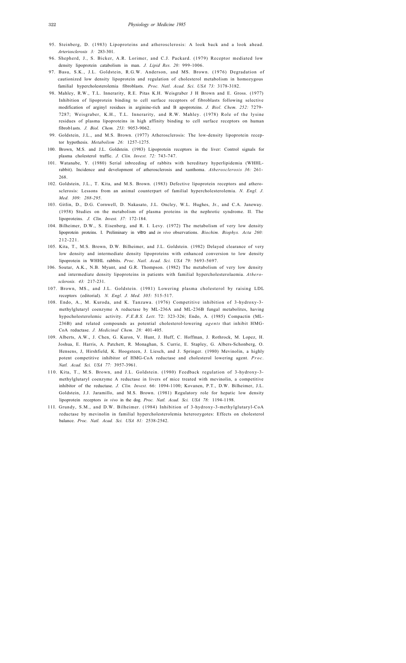- 95. Steinberg, D. (1983) Lipoproteins and atherosclerosis: A look back and a look ahead. *Arteriosclerosis 3:* 283-301.
- 96. Shepherd, J., S. Bicker, A.R. Lorimer, and C.J. Packard. (1979) Receptor mediated low density lipoprotein catabolism in man. *J. Lipid Res. 20:* 999-1006.
- 97. Basu, S.K., J.L. Goldstein, R.G.W. Anderson, and MS. Brown. (1976) Degradation of cautionized low density lipoprotein and regulation of cholesterol metabolism in homozygous familial hypercholesterolemia fibroblasts. *Proc. Natl. Acad. Sci. USA 73:* 3178-3182.
- 98. Mahley, R.W., T.L. Innerarity, R.E. Pitas K.H. Weisgraber J H Brown and E. Gross. (1977) Inhibition of lipoprotein binding to cell surface receptors of fibroblasts following selective modification of arginyl residues in arginine-rich and B apoproteins. *J. Biol. Chem. 252:* 7279- 7287; Weisgraber, K.H., T.L. Innerarity, and R.W. Mahley. (1978) Role of the lysine residues of plasma lipoproteins in high affinity binding to cell surface receptors on human fibrob1asts. *J. Biol. Chem. 253:* 9053-9062.
- 99. Goldstein, J.L., and M.S. Brown. (1977) Atherosclerosis: The low-density lipoprotein receptor hypothesis. *Metabolism 26:* 1257-1275.
- 100. Brown, M.S. and J.L. Goldstein. (1983) Lipoprotein receptors in the liver: Control signals for plasma cholesterol traffic. *J. Clin. Invest. 72:* 743-747.
- 101. Watanabe, Y. (1980) Serial inbreeding of rabbits with hereditary hyperlipidemia (WHHLrabbit). Incidence and development of atherosclerosis and xanthoma. *Atherosclerosis 36:* 261- 268.
- 102. Goldstein, J.L., T. Kita, and M.S. Brown. (1983) Defective lipoprotein receptors and atherosclerosis: Lessons from an animal counterpart of familial hypercholesterolemia. *N. Engl. J. Med. 309: 288-295.*
- 103. Gitlin, D., D.G. Cornwell, D. Nakasato, J.L. Oncley, W.L. Hughes, Jr., and C.A. Janeway. (1958) Studies on the metabolism of plasma proteins in the nephrotic syndrome. II. The lipoproteins. *J. Clin. Invest. 37:* 172-184.
- 104. Bilheimer, D.W., S. Eisenberg, and R. I. Levy. (1972) The metabolism of very low density lipoprotein proteins. I. Preliminary in vitro and *in vivo* observations. *Biochim. Biophys. Acta 260:* 212-221.
- 105. Kita, T., M.S. Brown, D.W. Bilheimer, and J.L. Goldstein. (1982) Delayed clearance of very low density and intermediate density lipoproteins with enhanced conversion to low density lipoprotein in WHHL rabbits. *Proc. Natl. Acad. Sci. USA 79:* 5693-5697.
- 106. Soutar, A.K., N.B. Myant, and G.R. Thompson. (1982) The metabolism of very low density and intermediate density lipoproteins in patients with familial hypercholesterolaemia. *Atherosclerosis. 43:* 217-231.
- 107. Brown, MS., and J.L. Goldstein. (1981) Lowering plasma cholesterol by raising LDL receptors (editorial). *N. Engl. J. Med. 305:* 515-517.
- 108. Endo, A., M. Kuroda, and K. Tanzawa. (1976) Competitive inhibition of 3-hydroxy-3 methylglutaryl coenzyme A reductase by ML-236A and ML-236B fungal metabolites, having hypocholesterolemic activity. *F.E.B.S. Lett.* 72: 323-326; Endo, A. (1985) Compactin (ML-236B) and related compounds as potential cholesterol-lowering *agents* that inhibit HMG-CoA reductase. *J. Medicinal Chem. 28:* 401-405.
- 109. Alberts, A.W., J. Chen, G. Kuron, V. Hunt, J. Huff, C. Hoffman, J. Rothrock, M. Lopez, H. Joshua, E. Harris, A. Patchett, R. Monaghan, S. Currie, E. Stapley, G. Albers-Schonberg, O. Hensens, J, Hirshfield, K. Hoogsteen, J. Liesch, and J. Springer. (1980) Mevinolin, a highly potent competitive inhibitor of HMG-CoA reductase and cholesterol lowering agent. *Proc. Natl. Acad. Sci. USA 77:* 3957-3961.
- 110. Kita, T., M.S. Brown, and J.L. Goldstein. (1980) Feedback regulation of 3-hydroxy-3 methylglutaryl coenzyme A reductase in livers of mice treated with mevinolin, a competitive inhibitor of the reductase. *J. Clin. Invest.* 66: 1094-1100; Kovanen, P.T., D.W. Bilheimer, J.L. Goldstein, J.J. Jaramillo, and M.S. Brown. (1981) Regulatory role for hepatic low density lipoprotein receptors *in vivo* in the dog. *Proc. Natl. Acad. Sci. USA 78:* 1194-1198.
- 11I. Grundy, S.M., and D.W. Bilheimer. (1984) Inhibition of 3-hydroxy-3-methylglutaryl-CoA reductase by mevinolin in familial hypercholesterolemia heterozygotes: Effects on cholesterol balance. *Proc. Natl. Acad. Sci. USA 81:* 2538-2542.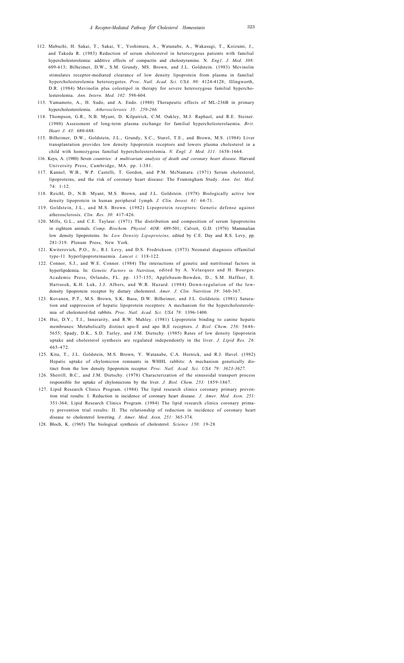- 112. Mabuchi, H. Sakai, T., Sakai, Y., Yoshimura, A., Watanabe, A., Wakasugi, T., Koizumi, J., and Takeda R. (1983) Reduction of serum cholesterol in heterozygous patients with familial hypercholesterolemia: additive effects of compactin and cholestyramine. N. *Eng1. J. Med. 308:* 609-613; Bilheimer, D.W., S.M. Grundy, MS. Brown, and J.L. Goldstein. (1983) Mevinolin stimulates receptor-mediated clearance of low density lipoprotein from plasma in familial hypercholesterolemia heterozygotes. *Proc. Natl. Acad. Sci. USA. 80:* 4124-4128; Illingworth, D.R. (1984) Mevinolin plus colestipol in therapy for severe heterozygous familial hypercholesterolemia. *Ann. Intern. Med. 102:* 598-604.
- 113. Yamamoto, A., H. Sudo, and A. Endo. (1980) Therapeutic effects of ML-236B in primary hypercholesterolemia. *Atherosclerosis 35: 259-266.*
- 114. Thompson, G.R., N.B. Myant, D. Kilpatrick, C.M. Oakley, M.J. Raphael, and R.E. Steiner. (1980) Assessment of long-term plasma exchange for familial hypercholesterolaemia. *Brit. Heart J. 43:* 680-688.
- 115. Bilheimer, D.W., Goldstein, J.L., Grundy, S.C., Starzl, T.E., and Brown, M.S. (1984) Liver transplantation provides low density lipoprotein receptors and lowers plasma cholesterol in a child with homozygous familial hypercholesterolemia. *N. Engl. J. Med. 311:* 1658-1664.
- 116. Keys, A. (1980) Seven *countries: A multivariate analysis of death and coronary heart disease.* Harvard University Press, Cambridge, MA. pp. l-381.
- 117. Kannel, W.B., W.P. Castelli, T. Gordon, and P.M. McNamara. (1971) Serum cholesterol, lipoproteins, and the risk of coronary heart disease: The Framingham Study. *Ann. Int. Med.* 74: 1-12.
- 118. Reichl, D., N.B. Myant, M.S. Brown, and J.L. Goldstein. (1978) Biologically active low density lipoprotein in human peripheral 1ymph. *J. Clin. Invest. 61:* 64-71.
- 119. Goldstein, J.L., and M.S. Brown. (1982) Lipoprotein receptors: Genetic defense against atherosclerosis. *Clin. Res. 30:* 417-426.
- 120. Mills, G.L., and C.E. Taylaur. (1971) The distribution and composition of serum lipoproteins in eighteen animals. *Comp. Biochem. Physiol. 4OB:* 489-501; Calvert, G.D. (1976) Mammalian low density lipoproteins. In: *Low Density Lipoproteins,* edited by C.E. Day and R.S. Levy, pp. 281-319. Plenum Press, New York.
- 121. Kwiterovich, P.O., Jr., R.I. Levy, and D.S. Fredrickson. (1973) Neonatal diagnosis offamilial type-11 hyperlipoproteinaemia. *Lancet i:* 118-122.
- 122. Connor, S.J., and W.E. Connor. (1984) The interactions of genetic and nutritional factors in hyperlipidemia. In: *Genetic Factors in Nutrition,* edited by A. Velazquez and H. Bourges. Academic Press, Orlando, FL. pp. 137-155; Applebaum-Bowden, D., S.M. Haffner, E. Hartsook, K.H. Luk, J.J. Albers, and W.R. Hazard. (1984) Down-regulation of the lowdensity lipoprotein receptor by dietary cholesterol. *Amer. J. Clin. Nutrition 39:* 360-367.
- 123. Kovanen, P.T., M.S. Brown, S.K. Basu, D.W. Bilheimer, and J.L. Goldstein. (1981) Saturation and suppression of hepatic lipoprotein receptors: A mechanism for the hypercholesterolemia of cholesterol-fed rabbits. *Proc. Natl. Acad. Sci. USA 78:* 1396-1400.
- 124. Hui, D.Y., T.I., Innerarity, and R.W. Mahley. (1981) Lipoprotein binding to canine hepatic membranes: Metabolically distinct apo-E and apo B,E receptors. *J. Biol. Chem. 256:* 5646- 5655; Spady, D.K., S.D. Turley, and J.M. Dietschy. (1985) Rates of low density lipoprotein uptake and cholesterol synthesis are regulated independently in the liver. *J. Lipid Res. 26:* 465-472.
- 125. Kita, T., J.L. Goldstein, M.S. Brown, Y. Watanabe, C.A. Hornick, and R.J. Havel. (1982) Hepatic uptake of chylomicron remnants in WHHL rabbits: A mechanism genetically distinct from the low density lipoprotein receptor. *Proc. Natl. Acad. Sci. USA 79: 3623-3627.*
- 126. Sherrill, B.C., and J.M. Dietschy. (1978) Characterization of the sinusoidal transport process responsible for uptake of chylomicrons by the liver. *J. Biol. Chem. 253:* 1859-1867.
- 127. Lipid Research Clinics Program. (1984) The lipid research clinics coronary primary prevention trial results: I. Reduction in incidence of coronary heart disease. *J. Amer. Med. Assn. 251:* 351-364; Lipid Research Clinics Program. (1984) The lipid research clinics coronary primary prevention trial results: II. The relationship of reduction in incidence of coronary heart disease to cholesterol lowering. *J. Amer. Med. Assn. 251:* 365-374.
- 128. Bloch, K. (1965) The biological synthesis of cholesterol. *Science 150:* 19-28